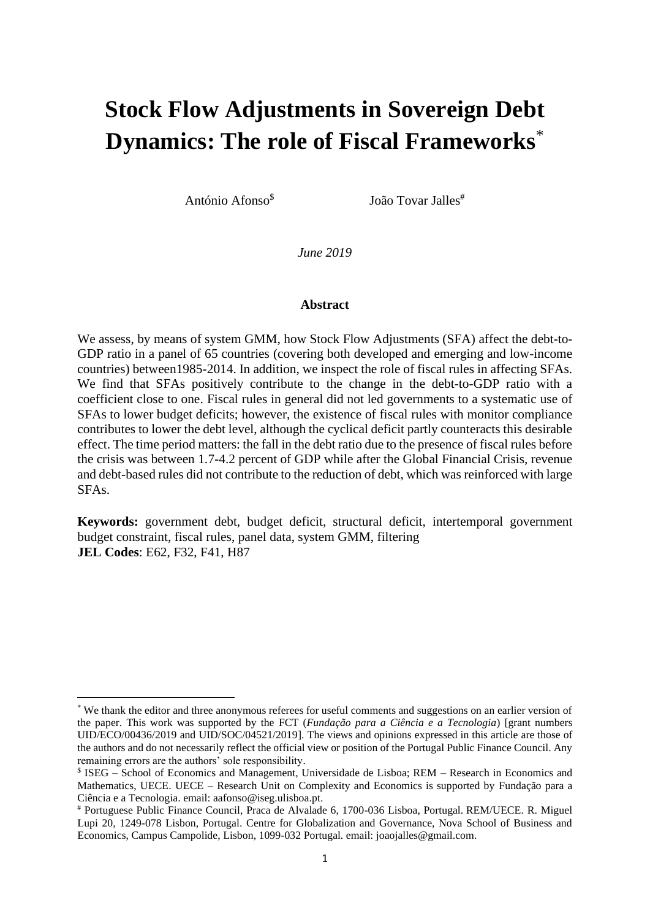# **Stock Flow Adjustments in Sovereign Debt Dynamics: The role of Fiscal Frameworks**\*

António Afonso\$

João Tovar Jalles<sup>#</sup>

*June 2019*

#### **Abstract**

We assess, by means of system GMM, how Stock Flow Adjustments (SFA) affect the debt-to-GDP ratio in a panel of 65 countries (covering both developed and emerging and low-income countries) between1985-2014. In addition, we inspect the role of fiscal rules in affecting SFAs. We find that SFAs positively contribute to the change in the debt-to-GDP ratio with a coefficient close to one. Fiscal rules in general did not led governments to a systematic use of SFAs to lower budget deficits; however, the existence of fiscal rules with monitor compliance contributes to lower the debt level, although the cyclical deficit partly counteracts this desirable effect. The time period matters: the fall in the debt ratio due to the presence of fiscal rules before the crisis was between 1.7-4.2 percent of GDP while after the Global Financial Crisis, revenue and debt-based rules did not contribute to the reduction of debt, which was reinforced with large SFAs.

**Keywords:** government debt, budget deficit, structural deficit, intertemporal government budget constraint, fiscal rules, panel data, system GMM, filtering **JEL Codes**: E62, F32, F41, H87

<sup>\*</sup> We thank the editor and three anonymous referees for useful comments and suggestions on an earlier version of the paper. This work was supported by the FCT (*Fundação para a Ciência e a Tecnologia*) [grant numbers UID/ECO/00436/2019 and UID/SOC/04521/2019]. The views and opinions expressed in this article are those of the authors and do not necessarily reflect the official view or position of the Portugal Public Finance Council. Any remaining errors are the authors' sole responsibility.

<sup>&</sup>lt;sup>\$</sup> ISEG – School of Economics and Management, Universidade de Lisboa; REM – Research in Economics and Mathematics, UECE. UECE – Research Unit on Complexity and Economics is supported by Fundação para a Ciência e a Tecnologia. email: aafonso@iseg.ulisboa.pt.

<sup>#</sup> Portuguese Public Finance Council, Praca de Alvalade 6, 1700-036 Lisboa, Portugal. REM/UECE. R. Miguel Lupi 20, 1249-078 Lisbon, Portugal. Centre for Globalization and Governance, Nova School of Business and Economics, Campus Campolide, Lisbon, 1099-032 Portugal. email: joaojalles@gmail.com.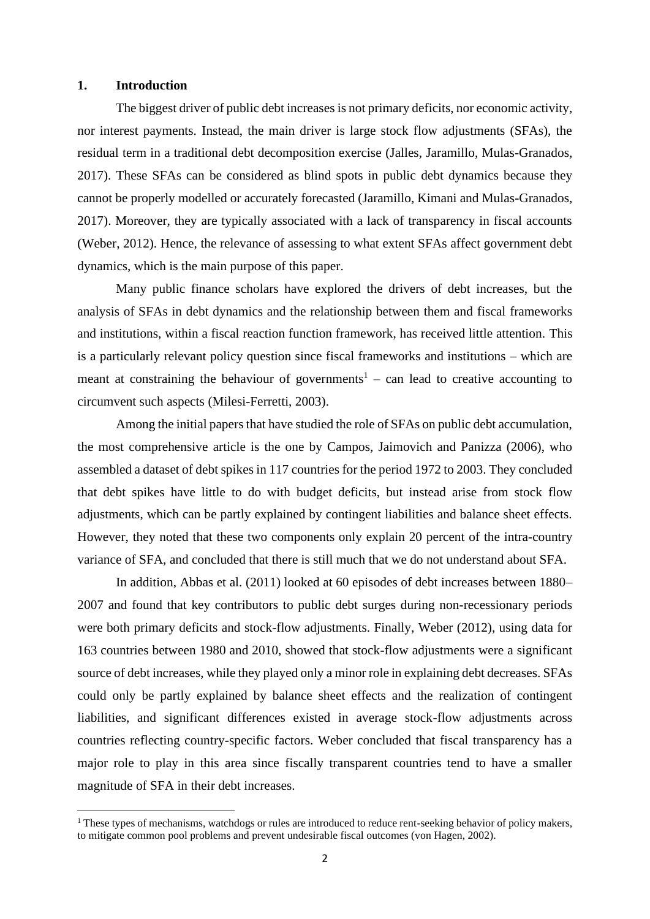#### **1. Introduction**

The biggest driver of public debt increases is not primary deficits, nor economic activity, nor interest payments. Instead, the main driver is large stock flow adjustments (SFAs), the residual term in a traditional debt decomposition exercise (Jalles, Jaramillo, Mulas-Granados, 2017). These SFAs can be considered as blind spots in public debt dynamics because they cannot be properly modelled or accurately forecasted (Jaramillo, Kimani and Mulas-Granados, 2017). Moreover, they are typically associated with a lack of transparency in fiscal accounts (Weber, 2012). Hence, the relevance of assessing to what extent SFAs affect government debt dynamics, which is the main purpose of this paper.

Many public finance scholars have explored the drivers of debt increases, but the analysis of SFAs in debt dynamics and the relationship between them and fiscal frameworks and institutions, within a fiscal reaction function framework, has received little attention. This is a particularly relevant policy question since fiscal frameworks and institutions – which are meant at constraining the behaviour of governments<sup>1</sup> – can lead to creative accounting to circumvent such aspects (Milesi-Ferretti, 2003).

Among the initial papers that have studied the role of SFAs on public debt accumulation, the most comprehensive article is the one by Campos, Jaimovich and Panizza (2006), who assembled a dataset of debt spikes in 117 countries for the period 1972 to 2003. They concluded that debt spikes have little to do with budget deficits, but instead arise from stock flow adjustments, which can be partly explained by contingent liabilities and balance sheet effects. However, they noted that these two components only explain 20 percent of the intra-country variance of SFA, and concluded that there is still much that we do not understand about SFA.

In addition, Abbas et al. (2011) looked at 60 episodes of debt increases between 1880– 2007 and found that key contributors to public debt surges during non-recessionary periods were both primary deficits and stock-flow adjustments. Finally, Weber (2012), using data for 163 countries between 1980 and 2010, showed that stock-flow adjustments were a significant source of debt increases, while they played only a minor role in explaining debt decreases. SFAs could only be partly explained by balance sheet effects and the realization of contingent liabilities, and significant differences existed in average stock-flow adjustments across countries reflecting country-specific factors. Weber concluded that fiscal transparency has a major role to play in this area since fiscally transparent countries tend to have a smaller magnitude of SFA in their debt increases.

 $<sup>1</sup>$  These types of mechanisms, watchdogs or rules are introduced to reduce rent-seeking behavior of policy makers,</sup> to mitigate common pool problems and prevent undesirable fiscal outcomes (von Hagen, 2002).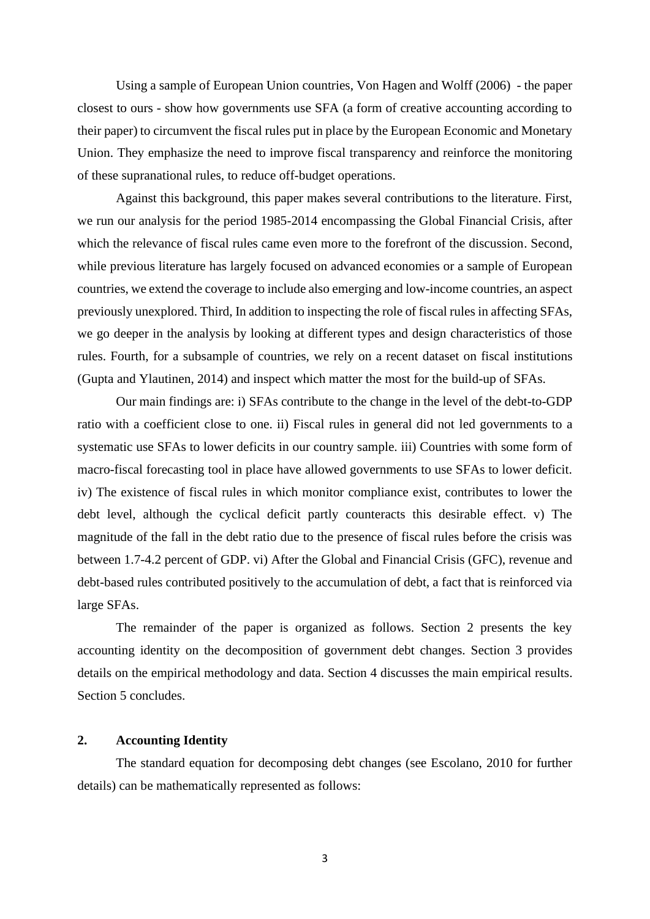Using a sample of European Union countries, Von Hagen and Wolff (2006) - the paper closest to ours - show how governments use SFA (a form of creative accounting according to their paper) to circumvent the fiscal rules put in place by the European Economic and Monetary Union. They emphasize the need to improve fiscal transparency and reinforce the monitoring of these supranational rules, to reduce off-budget operations.

Against this background, this paper makes several contributions to the literature. First, we run our analysis for the period 1985-2014 encompassing the Global Financial Crisis, after which the relevance of fiscal rules came even more to the forefront of the discussion. Second, while previous literature has largely focused on advanced economies or a sample of European countries, we extend the coverage to include also emerging and low-income countries, an aspect previously unexplored. Third, In addition to inspecting the role of fiscal rules in affecting SFAs, we go deeper in the analysis by looking at different types and design characteristics of those rules. Fourth, for a subsample of countries, we rely on a recent dataset on fiscal institutions (Gupta and Ylautinen, 2014) and inspect which matter the most for the build-up of SFAs.

Our main findings are: i) SFAs contribute to the change in the level of the debt-to-GDP ratio with a coefficient close to one. ii) Fiscal rules in general did not led governments to a systematic use SFAs to lower deficits in our country sample. iii) Countries with some form of macro-fiscal forecasting tool in place have allowed governments to use SFAs to lower deficit. iv) The existence of fiscal rules in which monitor compliance exist, contributes to lower the debt level, although the cyclical deficit partly counteracts this desirable effect. v) The magnitude of the fall in the debt ratio due to the presence of fiscal rules before the crisis was between 1.7-4.2 percent of GDP. vi) After the Global and Financial Crisis (GFC), revenue and debt-based rules contributed positively to the accumulation of debt, a fact that is reinforced via large SFAs.

The remainder of the paper is organized as follows. Section 2 presents the key accounting identity on the decomposition of government debt changes. Section 3 provides details on the empirical methodology and data. Section 4 discusses the main empirical results. Section 5 concludes.

#### **2. Accounting Identity**

The standard equation for decomposing debt changes (see Escolano, 2010 for further details) can be mathematically represented as follows: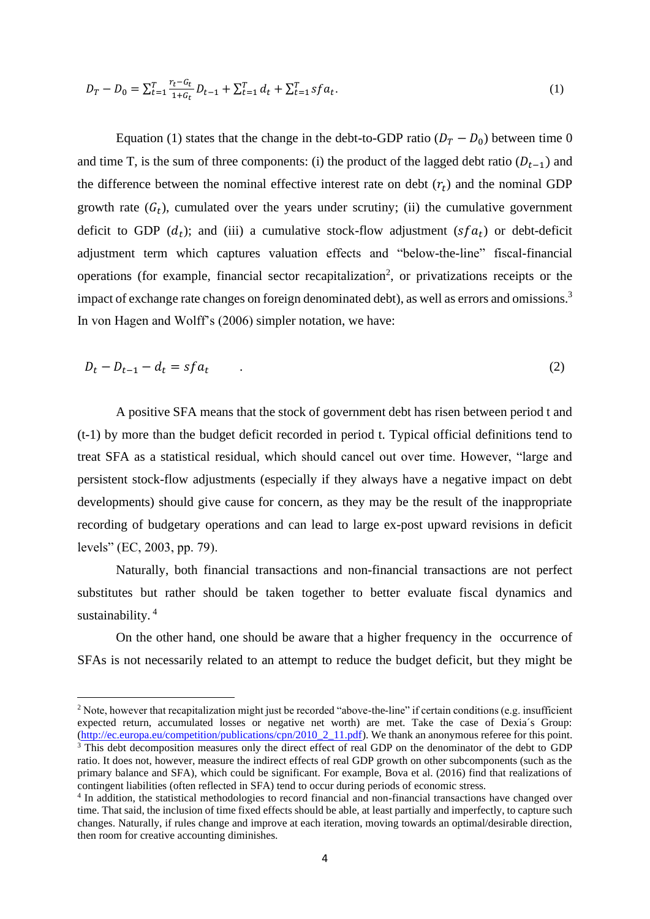$$
D_T - D_0 = \sum_{t=1}^T \frac{r_t - G_t}{1 + G_t} D_{t-1} + \sum_{t=1}^T d_t + \sum_{t=1}^T s f a_t.
$$
 (1)

Equation (1) states that the change in the debt-to-GDP ratio  $(D_T - D_0)$  between time 0 and time T, is the sum of three components: (i) the product of the lagged debt ratio  $(D_{t-1})$  and the difference between the nominal effective interest rate on debt  $(r_t)$  and the nominal GDP growth rate  $(G_t)$ , cumulated over the years under scrutiny; (ii) the cumulative government deficit to GDP  $(d_t)$ ; and (iii) a cumulative stock-flow adjustment  $(sfa_t)$  or debt-deficit adjustment term which captures valuation effects and "below-the-line" fiscal-financial operations (for example, financial sector recapitalization<sup>2</sup>, or privatizations receipts or the impact of exchange rate changes on foreign denominated debt), as well as errors and omissions.<sup>3</sup> In von Hagen and Wolff's (2006) simpler notation, we have:

$$
D_t - D_{t-1} - d_t = sfa_t \tag{2}
$$

A positive SFA means that the stock of government debt has risen between period t and (t-1) by more than the budget deficit recorded in period t. Typical official definitions tend to treat SFA as a statistical residual, which should cancel out over time. However, "large and persistent stock-flow adjustments (especially if they always have a negative impact on debt developments) should give cause for concern, as they may be the result of the inappropriate recording of budgetary operations and can lead to large ex-post upward revisions in deficit levels" (EC, 2003, pp. 79).

Naturally, both financial transactions and non-financial transactions are not perfect substitutes but rather should be taken together to better evaluate fiscal dynamics and sustainability.<sup>4</sup>

On the other hand, one should be aware that a higher frequency in the occurrence of SFAs is not necessarily related to an attempt to reduce the budget deficit, but they might be

<sup>&</sup>lt;sup>2</sup> Note, however that recapitalization might just be recorded "above-the-line" if certain conditions (e.g. insufficient expected return, accumulated losses or negative net worth) are met. Take the case of Dexia´s Group: [\(http://ec.europa.eu/competition/publications/cpn/2010\\_2\\_11.pdf\)](http://ec.europa.eu/competition/publications/cpn/2010_2_11.pdf). We thank an anonymous referee for this point.  $\overline{3}$ . This debt decomposition measures only the direct effect of real GDP on the denominator of the debt to GDP ratio. It does not, however, measure the indirect effects of real GDP growth on other subcomponents (such as the primary balance and SFA), which could be significant. For example, Bova et al. (2016) find that realizations of contingent liabilities (often reflected in SFA) tend to occur during periods of economic stress.

<sup>4</sup> In addition, the statistical methodologies to record financial and non-financial transactions have changed over time. That said, the inclusion of time fixed effects should be able, at least partially and imperfectly, to capture such changes. Naturally, if rules change and improve at each iteration, moving towards an optimal/desirable direction, then room for creative accounting diminishes.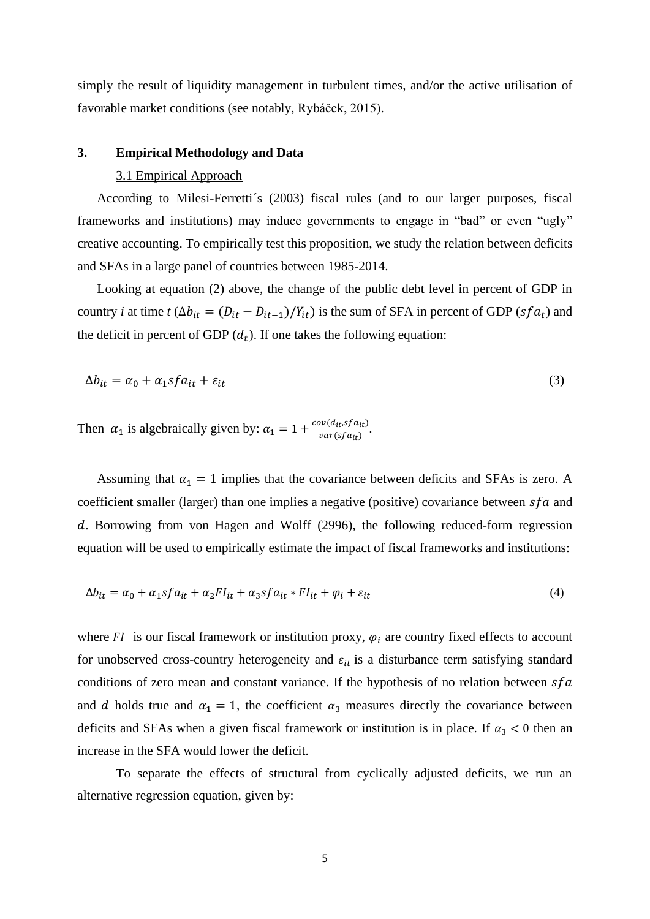simply the result of liquidity management in turbulent times, and/or the active utilisation of favorable market conditions (see notably, Rybáček, 2015).

#### **3. Empirical Methodology and Data**

#### 3.1 Empirical Approach

According to Milesi-Ferretti´s (2003) fiscal rules (and to our larger purposes, fiscal frameworks and institutions) may induce governments to engage in "bad" or even "ugly" creative accounting. To empirically test this proposition, we study the relation between deficits and SFAs in a large panel of countries between 1985-2014.

Looking at equation (2) above, the change of the public debt level in percent of GDP in country *i* at time  $t (\Delta b_{it} = (D_{it} - D_{it-1})/Y_{it})$  is the sum of SFA in percent of GDP (sf $a_t$ ) and the deficit in percent of GDP  $(d_t)$ . If one takes the following equation:

$$
\Delta b_{it} = \alpha_0 + \alpha_1 s f a_{it} + \varepsilon_{it} \tag{3}
$$

Then  $\alpha_1$  is algebraically given by:  $\alpha_1 = 1 + \frac{cov(d_{it}, sfa_{it})}{var(sfa_{it})}$  $\frac{ov(a_{it}, s) a_{it})}{var(sfa_{it})}$ .

Assuming that  $\alpha_1 = 1$  implies that the covariance between deficits and SFAs is zero. A coefficient smaller (larger) than one implies a negative (positive) covariance between  $sfa$  and . Borrowing from von Hagen and Wolff (2996), the following reduced-form regression equation will be used to empirically estimate the impact of fiscal frameworks and institutions:

$$
\Delta b_{it} = \alpha_0 + \alpha_1 s f a_{it} + \alpha_2 F I_{it} + \alpha_3 s f a_{it} * F I_{it} + \varphi_i + \varepsilon_{it}
$$
\n
$$
\tag{4}
$$

where  $FI$  is our fiscal framework or institution proxy,  $\varphi_i$  are country fixed effects to account for unobserved cross-country heterogeneity and  $\varepsilon_{it}$  is a disturbance term satisfying standard conditions of zero mean and constant variance. If the hypothesis of no relation between  $sfa$ and *d* holds true and  $\alpha_1 = 1$ , the coefficient  $\alpha_3$  measures directly the covariance between deficits and SFAs when a given fiscal framework or institution is in place. If  $\alpha_3 < 0$  then an increase in the SFA would lower the deficit.

To separate the effects of structural from cyclically adjusted deficits, we run an alternative regression equation, given by: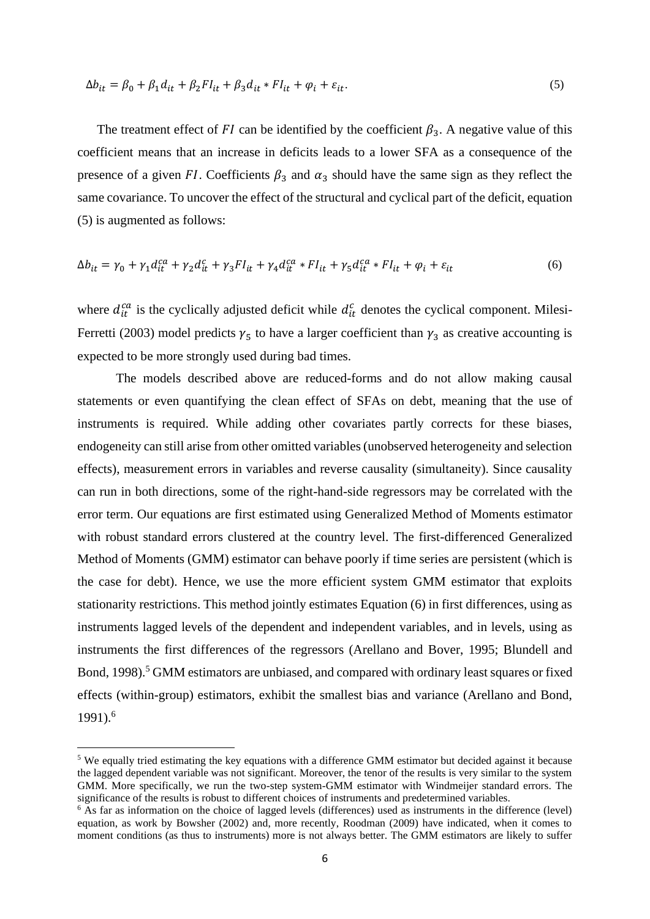$$
\Delta b_{it} = \beta_0 + \beta_1 d_{it} + \beta_2 F I_{it} + \beta_3 d_{it} * F I_{it} + \varphi_i + \varepsilon_{it}.
$$
\n
$$
\tag{5}
$$

The treatment effect of FI can be identified by the coefficient  $\beta_3$ . A negative value of this coefficient means that an increase in deficits leads to a lower SFA as a consequence of the presence of a given FI. Coefficients  $\beta_3$  and  $\alpha_3$  should have the same sign as they reflect the same covariance. To uncover the effect of the structural and cyclical part of the deficit, equation (5) is augmented as follows:

$$
\Delta b_{it} = \gamma_0 + \gamma_1 d_{it}^{ca} + \gamma_2 d_{it}^c + \gamma_3 F I_{it} + \gamma_4 d_{it}^{ca} * F I_{it} + \gamma_5 d_{it}^{ca} * F I_{it} + \varphi_i + \varepsilon_{it}
$$
(6)

where  $d_{it}^{ca}$  is the cyclically adjusted deficit while  $d_{it}^{c}$  denotes the cyclical component. Milesi-Ferretti (2003) model predicts  $\gamma_5$  to have a larger coefficient than  $\gamma_3$  as creative accounting is expected to be more strongly used during bad times.

The models described above are reduced-forms and do not allow making causal statements or even quantifying the clean effect of SFAs on debt, meaning that the use of instruments is required. While adding other covariates partly corrects for these biases, endogeneity can still arise from other omitted variables (unobserved heterogeneity and selection effects), measurement errors in variables and reverse causality (simultaneity). Since causality can run in both directions, some of the right-hand-side regressors may be correlated with the error term. Our equations are first estimated using Generalized Method of Moments estimator with robust standard errors clustered at the country level. The first-differenced Generalized Method of Moments (GMM) estimator can behave poorly if time series are persistent (which is the case for debt). Hence, we use the more efficient system GMM estimator that exploits stationarity restrictions. This method jointly estimates Equation (6) in first differences, using as instruments lagged levels of the dependent and independent variables, and in levels, using as instruments the first differences of the regressors (Arellano and Bover, 1995; Blundell and Bond, 1998).<sup>5</sup> GMM estimators are unbiased, and compared with ordinary least squares or fixed effects (within-group) estimators, exhibit the smallest bias and variance (Arellano and Bond, 1991).<sup>6</sup>

<sup>5</sup> We equally tried estimating the key equations with a difference GMM estimator but decided against it because the lagged dependent variable was not significant. Moreover, the tenor of the results is very similar to the system GMM. More specifically, we run the two-step system-GMM estimator with Windmeijer standard errors. The significance of the results is robust to different choices of instruments and predetermined variables.

<sup>&</sup>lt;sup>6</sup> As far as information on the choice of lagged levels (differences) used as instruments in the difference (level) equation, as work by Bowsher (2002) and, more recently, Roodman (2009) have indicated, when it comes to moment conditions (as thus to instruments) more is not always better. The GMM estimators are likely to suffer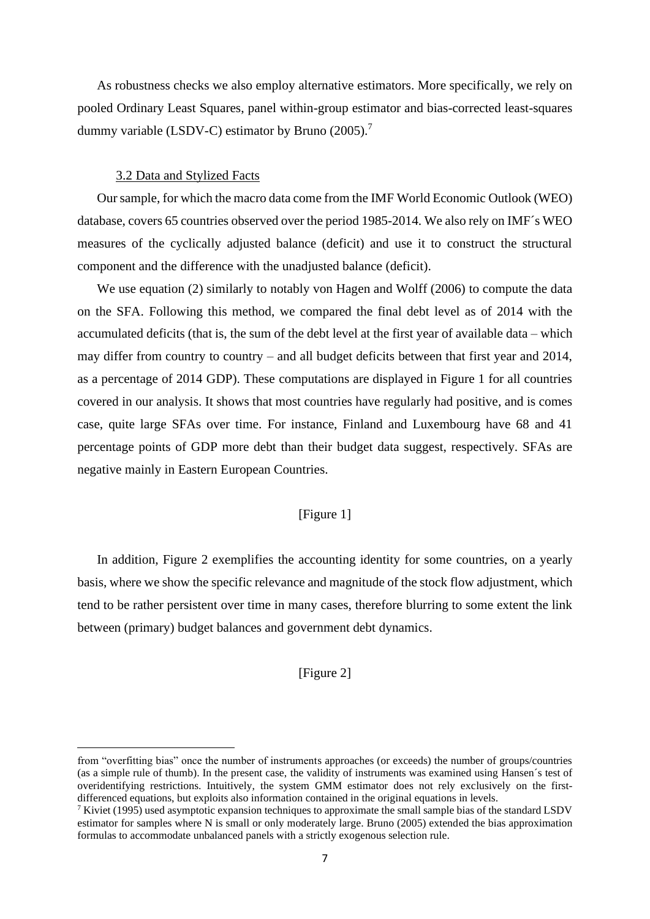As robustness checks we also employ alternative estimators. More specifically, we rely on pooled Ordinary Least Squares, panel within-group estimator and bias-corrected least-squares dummy variable (LSDV-C) estimator by Bruno (2005).<sup>7</sup>

#### 3.2 Data and Stylized Facts

Our sample, for which the macro data come from the IMF World Economic Outlook (WEO) database, covers 65 countries observed over the period 1985-2014. We also rely on IMF´s WEO measures of the cyclically adjusted balance (deficit) and use it to construct the structural component and the difference with the unadjusted balance (deficit).

We use equation (2) similarly to notably von Hagen and Wolff (2006) to compute the data on the SFA. Following this method, we compared the final debt level as of 2014 with the accumulated deficits (that is, the sum of the debt level at the first year of available data – which may differ from country to country – and all budget deficits between that first year and 2014, as a percentage of 2014 GDP). These computations are displayed in Figure 1 for all countries covered in our analysis. It shows that most countries have regularly had positive, and is comes case, quite large SFAs over time. For instance, Finland and Luxembourg have 68 and 41 percentage points of GDP more debt than their budget data suggest, respectively. SFAs are negative mainly in Eastern European Countries.

#### [Figure 1]

In addition, Figure 2 exemplifies the accounting identity for some countries, on a yearly basis, where we show the specific relevance and magnitude of the stock flow adjustment, which tend to be rather persistent over time in many cases, therefore blurring to some extent the link between (primary) budget balances and government debt dynamics.

#### [Figure 2]

from "overfitting bias" once the number of instruments approaches (or exceeds) the number of groups/countries (as a simple rule of thumb). In the present case, the validity of instruments was examined using Hansen´s test of overidentifying restrictions. Intuitively, the system GMM estimator does not rely exclusively on the firstdifferenced equations, but exploits also information contained in the original equations in levels.

<sup>7</sup> Kiviet (1995) used asymptotic expansion techniques to approximate the small sample bias of the standard LSDV estimator for samples where N is small or only moderately large. Bruno (2005) extended the bias approximation formulas to accommodate unbalanced panels with a strictly exogenous selection rule.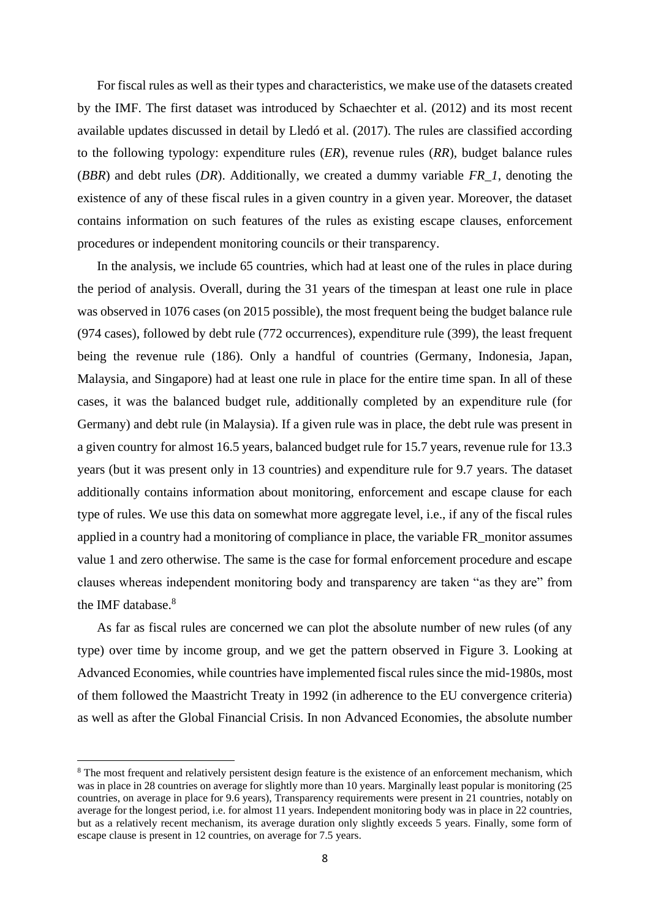For fiscal rules as well as their types and characteristics, we make use of the datasets created by the IMF. The first dataset was introduced by Schaechter et al. (2012) and its most recent available updates discussed in detail by Lledó et al. (2017). The rules are classified according to the following typology: expenditure rules (*ER*), revenue rules (*RR*), budget balance rules (*BBR*) and debt rules (*DR*). Additionally, we created a dummy variable *FR\_1*, denoting the existence of any of these fiscal rules in a given country in a given year. Moreover, the dataset contains information on such features of the rules as existing escape clauses, enforcement procedures or independent monitoring councils or their transparency.

In the analysis, we include 65 countries, which had at least one of the rules in place during the period of analysis. Overall, during the 31 years of the timespan at least one rule in place was observed in 1076 cases (on 2015 possible), the most frequent being the budget balance rule (974 cases), followed by debt rule (772 occurrences), expenditure rule (399), the least frequent being the revenue rule (186). Only a handful of countries (Germany, Indonesia, Japan, Malaysia, and Singapore) had at least one rule in place for the entire time span. In all of these cases, it was the balanced budget rule, additionally completed by an expenditure rule (for Germany) and debt rule (in Malaysia). If a given rule was in place, the debt rule was present in a given country for almost 16.5 years, balanced budget rule for 15.7 years, revenue rule for 13.3 years (but it was present only in 13 countries) and expenditure rule for 9.7 years. The dataset additionally contains information about monitoring, enforcement and escape clause for each type of rules. We use this data on somewhat more aggregate level, i.e., if any of the fiscal rules applied in a country had a monitoring of compliance in place, the variable FR\_monitor assumes value 1 and zero otherwise. The same is the case for formal enforcement procedure and escape clauses whereas independent monitoring body and transparency are taken "as they are" from the IMF database.<sup>8</sup>

As far as fiscal rules are concerned we can plot the absolute number of new rules (of any type) over time by income group, and we get the pattern observed in Figure 3. Looking at Advanced Economies, while countries have implemented fiscal rules since the mid-1980s, most of them followed the Maastricht Treaty in 1992 (in adherence to the EU convergence criteria) as well as after the Global Financial Crisis. In non Advanced Economies, the absolute number

<sup>&</sup>lt;sup>8</sup> The most frequent and relatively persistent design feature is the existence of an enforcement mechanism, which was in place in 28 countries on average for slightly more than 10 years. Marginally least popular is monitoring (25 countries, on average in place for 9.6 years), Transparency requirements were present in 21 countries, notably on average for the longest period, i.e. for almost 11 years. Independent monitoring body was in place in 22 countries, but as a relatively recent mechanism, its average duration only slightly exceeds 5 years. Finally, some form of escape clause is present in 12 countries, on average for 7.5 years.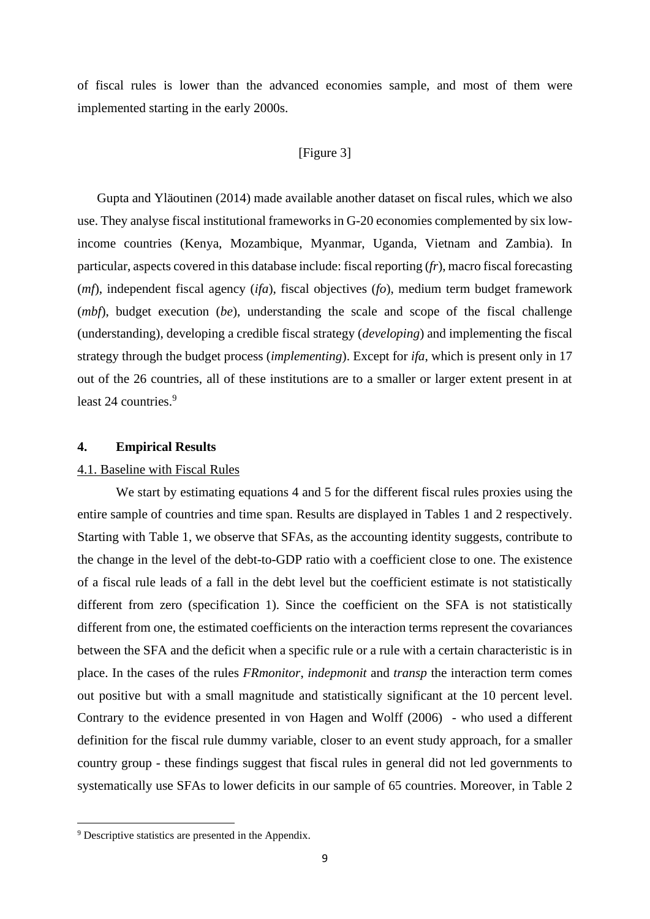of fiscal rules is lower than the advanced economies sample, and most of them were implemented starting in the early 2000s.

#### [Figure 3]

Gupta and Yläoutinen (2014) made available another dataset on fiscal rules, which we also use. They analyse fiscal institutional frameworks in G-20 economies complemented by six lowincome countries (Kenya, Mozambique, Myanmar, Uganda, Vietnam and Zambia). In particular, aspects covered in this database include: fiscal reporting (*fr*), macro fiscal forecasting (*mf*), independent fiscal agency (*ifa*), fiscal objectives (*fo*), medium term budget framework (*mbf*), budget execution (*be*), understanding the scale and scope of the fiscal challenge (understanding), developing a credible fiscal strategy (*developing*) and implementing the fiscal strategy through the budget process (*implementing*). Except for *ifa*, which is present only in 17 out of the 26 countries, all of these institutions are to a smaller or larger extent present in at least 24 countries.<sup>9</sup>

#### **4. Empirical Results**

#### 4.1. Baseline with Fiscal Rules

We start by estimating equations 4 and 5 for the different fiscal rules proxies using the entire sample of countries and time span. Results are displayed in Tables 1 and 2 respectively. Starting with Table 1, we observe that SFAs, as the accounting identity suggests, contribute to the change in the level of the debt-to-GDP ratio with a coefficient close to one. The existence of a fiscal rule leads of a fall in the debt level but the coefficient estimate is not statistically different from zero (specification 1). Since the coefficient on the SFA is not statistically different from one, the estimated coefficients on the interaction terms represent the covariances between the SFA and the deficit when a specific rule or a rule with a certain characteristic is in place. In the cases of the rules *FRmonitor*, *indepmonit* and *transp* the interaction term comes out positive but with a small magnitude and statistically significant at the 10 percent level. Contrary to the evidence presented in von Hagen and Wolff (2006) - who used a different definition for the fiscal rule dummy variable, closer to an event study approach, for a smaller country group - these findings suggest that fiscal rules in general did not led governments to systematically use SFAs to lower deficits in our sample of 65 countries. Moreover, in Table 2

<sup>9</sup> Descriptive statistics are presented in the Appendix.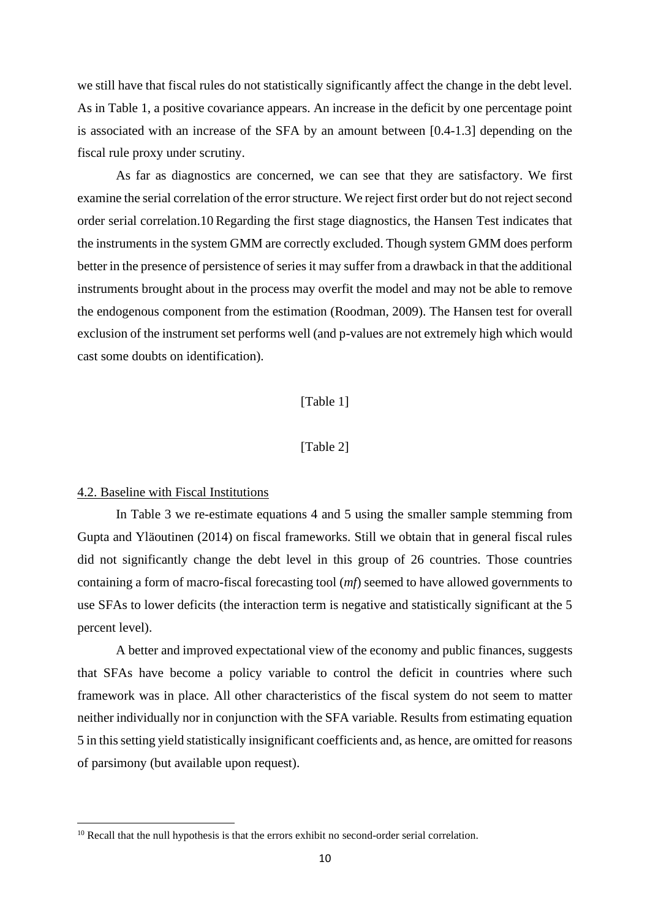we still have that fiscal rules do not statistically significantly affect the change in the debt level. As in Table 1, a positive covariance appears. An increase in the deficit by one percentage point is associated with an increase of the SFA by an amount between [0.4-1.3] depending on the fiscal rule proxy under scrutiny.

As far as diagnostics are concerned, we can see that they are satisfactory. We first examine the serial correlation of the error structure. We reject first order but do not reject second order serial correlation.10 Regarding the first stage diagnostics, the Hansen Test indicates that the instruments in the system GMM are correctly excluded. Though system GMM does perform better in the presence of persistence of series it may suffer from a drawback in that the additional instruments brought about in the process may overfit the model and may not be able to remove the endogenous component from the estimation (Roodman, 2009). The Hansen test for overall exclusion of the instrument set performs well (and p-values are not extremely high which would cast some doubts on identification).

#### [Table 1]

#### [Table 2]

#### 4.2. Baseline with Fiscal Institutions

In Table 3 we re-estimate equations 4 and 5 using the smaller sample stemming from Gupta and Yläoutinen (2014) on fiscal frameworks. Still we obtain that in general fiscal rules did not significantly change the debt level in this group of 26 countries. Those countries containing a form of macro-fiscal forecasting tool (*mf*) seemed to have allowed governments to use SFAs to lower deficits (the interaction term is negative and statistically significant at the 5 percent level).

A better and improved expectational view of the economy and public finances, suggests that SFAs have become a policy variable to control the deficit in countries where such framework was in place. All other characteristics of the fiscal system do not seem to matter neither individually nor in conjunction with the SFA variable. Results from estimating equation 5 in this setting yield statistically insignificant coefficients and, as hence, are omitted for reasons of parsimony (but available upon request).

<sup>&</sup>lt;sup>10</sup> Recall that the null hypothesis is that the errors exhibit no second-order serial correlation.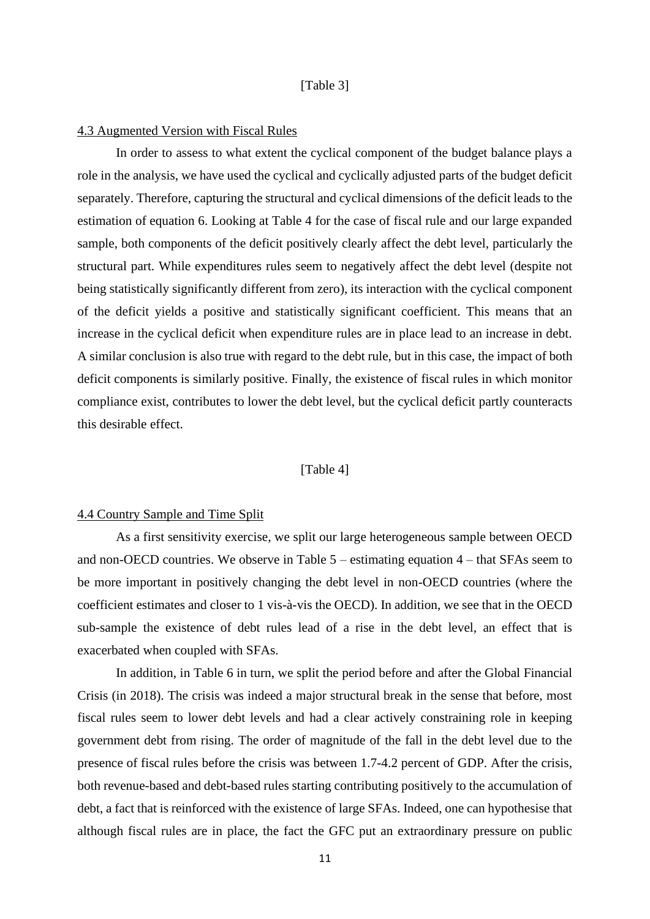#### [Table 3]

#### 4.3 Augmented Version with Fiscal Rules

In order to assess to what extent the cyclical component of the budget balance plays a role in the analysis, we have used the cyclical and cyclically adjusted parts of the budget deficit separately. Therefore, capturing the structural and cyclical dimensions of the deficit leads to the estimation of equation 6. Looking at Table 4 for the case of fiscal rule and our large expanded sample, both components of the deficit positively clearly affect the debt level, particularly the structural part. While expenditures rules seem to negatively affect the debt level (despite not being statistically significantly different from zero), its interaction with the cyclical component of the deficit yields a positive and statistically significant coefficient. This means that an increase in the cyclical deficit when expenditure rules are in place lead to an increase in debt. A similar conclusion is also true with regard to the debt rule, but in this case, the impact of both deficit components is similarly positive. Finally, the existence of fiscal rules in which monitor compliance exist, contributes to lower the debt level, but the cyclical deficit partly counteracts this desirable effect.

#### [Table 4]

#### 4.4 Country Sample and Time Split

As a first sensitivity exercise, we split our large heterogeneous sample between OECD and non-OECD countries. We observe in Table 5 – estimating equation 4 – that SFAs seem to be more important in positively changing the debt level in non-OECD countries (where the coefficient estimates and closer to 1 vis-à-vis the OECD). In addition, we see that in the OECD sub-sample the existence of debt rules lead of a rise in the debt level, an effect that is exacerbated when coupled with SFAs.

In addition, in Table 6 in turn, we split the period before and after the Global Financial Crisis (in 2018). The crisis was indeed a major structural break in the sense that before, most fiscal rules seem to lower debt levels and had a clear actively constraining role in keeping government debt from rising. The order of magnitude of the fall in the debt level due to the presence of fiscal rules before the crisis was between 1.7-4.2 percent of GDP. After the crisis, both revenue-based and debt-based rules starting contributing positively to the accumulation of debt, a fact that is reinforced with the existence of large SFAs. Indeed, one can hypothesise that although fiscal rules are in place, the fact the GFC put an extraordinary pressure on public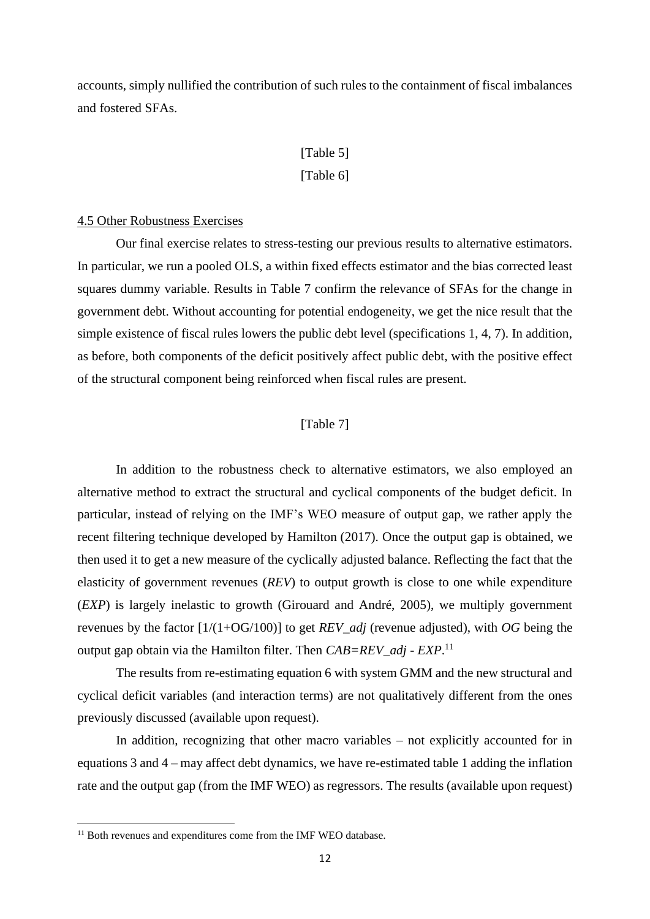accounts, simply nullified the contribution of such rules to the containment of fiscal imbalances and fostered SFAs.

#### [Table 5]

#### [Table 6]

#### 4.5 Other Robustness Exercises

Our final exercise relates to stress-testing our previous results to alternative estimators. In particular, we run a pooled OLS, a within fixed effects estimator and the bias corrected least squares dummy variable. Results in Table 7 confirm the relevance of SFAs for the change in government debt. Without accounting for potential endogeneity, we get the nice result that the simple existence of fiscal rules lowers the public debt level (specifications 1, 4, 7). In addition, as before, both components of the deficit positively affect public debt, with the positive effect of the structural component being reinforced when fiscal rules are present.

### [Table 7]

In addition to the robustness check to alternative estimators, we also employed an alternative method to extract the structural and cyclical components of the budget deficit. In particular, instead of relying on the IMF's WEO measure of output gap, we rather apply the recent filtering technique developed by Hamilton (2017). Once the output gap is obtained, we then used it to get a new measure of the cyclically adjusted balance. Reflecting the fact that the elasticity of government revenues (*REV*) to output growth is close to one while expenditure (*EXP*) is largely inelastic to growth (Girouard and André, 2005), we multiply government revenues by the factor [1/(1+OG/100)] to get *REV\_adj* (revenue adjusted), with *OG* being the output gap obtain via the Hamilton filter. Then *CAB=REV\_adj - EXP*. 11

The results from re-estimating equation 6 with system GMM and the new structural and cyclical deficit variables (and interaction terms) are not qualitatively different from the ones previously discussed (available upon request).

In addition, recognizing that other macro variables – not explicitly accounted for in equations 3 and 4 – may affect debt dynamics, we have re-estimated table 1 adding the inflation rate and the output gap (from the IMF WEO) as regressors. The results (available upon request)

<sup>&</sup>lt;sup>11</sup> Both revenues and expenditures come from the IMF WEO database.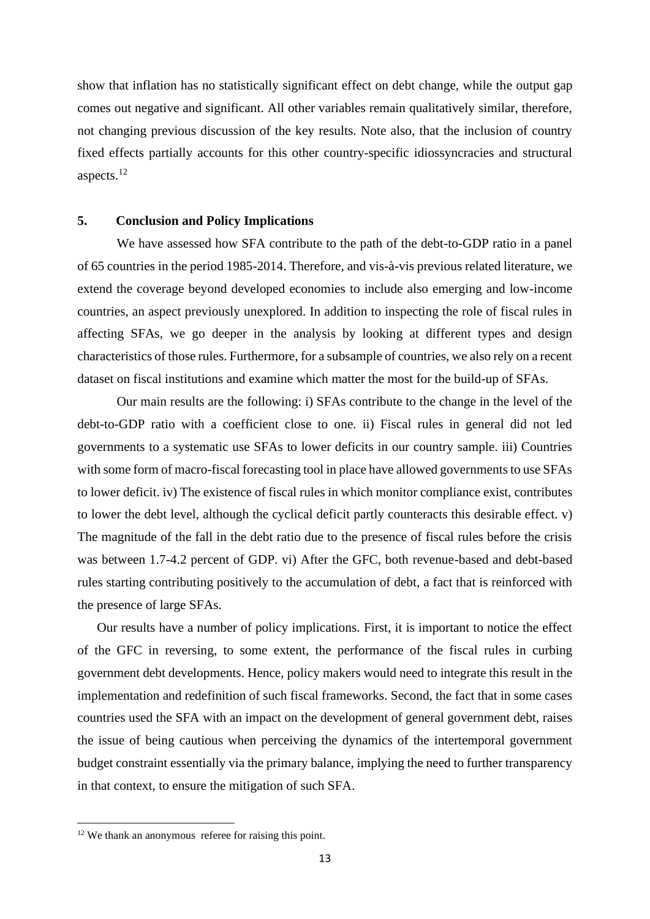show that inflation has no statistically significant effect on debt change, while the output gap comes out negative and significant. All other variables remain qualitatively similar, therefore, not changing previous discussion of the key results. Note also, that the inclusion of country fixed effects partially accounts for this other country-specific idiossyncracies and structural aspects.<sup>12</sup>

#### **5. Conclusion and Policy Implications**

We have assessed how SFA contribute to the path of the debt-to-GDP ratio in a panel of 65 countries in the period 1985-2014. Therefore, and vis-à-vis previous related literature, we extend the coverage beyond developed economies to include also emerging and low-income countries, an aspect previously unexplored. In addition to inspecting the role of fiscal rules in affecting SFAs, we go deeper in the analysis by looking at different types and design characteristics of those rules. Furthermore, for a subsample of countries, we also rely on a recent dataset on fiscal institutions and examine which matter the most for the build-up of SFAs.

Our main results are the following: i) SFAs contribute to the change in the level of the debt-to-GDP ratio with a coefficient close to one. ii) Fiscal rules in general did not led governments to a systematic use SFAs to lower deficits in our country sample. iii) Countries with some form of macro-fiscal forecasting tool in place have allowed governments to use SFAs to lower deficit. iv) The existence of fiscal rules in which monitor compliance exist, contributes to lower the debt level, although the cyclical deficit partly counteracts this desirable effect. v) The magnitude of the fall in the debt ratio due to the presence of fiscal rules before the crisis was between 1.7-4.2 percent of GDP. vi) After the GFC, both revenue-based and debt-based rules starting contributing positively to the accumulation of debt, a fact that is reinforced with the presence of large SFAs.

Our results have a number of policy implications. First, it is important to notice the effect of the GFC in reversing, to some extent, the performance of the fiscal rules in curbing government debt developments. Hence, policy makers would need to integrate this result in the implementation and redefinition of such fiscal frameworks. Second, the fact that in some cases countries used the SFA with an impact on the development of general government debt, raises the issue of being cautious when perceiving the dynamics of the intertemporal government budget constraint essentially via the primary balance, implying the need to further transparency in that context, to ensure the mitigation of such SFA.

<sup>&</sup>lt;sup>12</sup> We thank an anonymous referee for raising this point.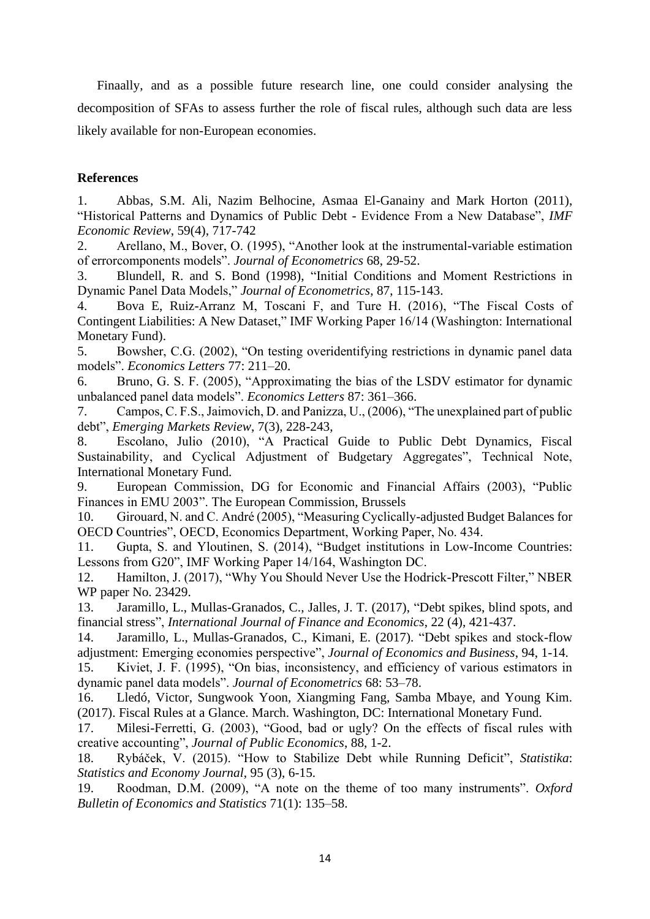Finaally, and as a possible future research line, one could consider analysing the decomposition of SFAs to assess further the role of fiscal rules, although such data are less likely available for non-European economies.

## **References**

1. Abbas, S.M. Ali, Nazim Belhocine, Asmaa El-Ganainy and Mark Horton (2011), "Historical Patterns and Dynamics of Public Debt - Evidence From a New Database", *IMF Economic Review*, 59(4), 717-742

2. Arellano, M., Bover, O. (1995), "Another look at the instrumental-variable estimation of errorcomponents models". *Journal of Econometrics* 68, 29-52.

3. Blundell, R. and S. Bond (1998), "Initial Conditions and Moment Restrictions in Dynamic Panel Data Models," *Journal of Econometrics*, 87, 115-143.

4. Bova E, Ruiz-Arranz M, Toscani F, and Ture H. (2016), "The Fiscal Costs of Contingent Liabilities: A New Dataset," IMF Working Paper 16/14 (Washington: International Monetary Fund).

5. Bowsher, C.G. (2002), "On testing overidentifying restrictions in dynamic panel data models". *Economics Letters* 77: 211–20.

6. Bruno, G. S. F. (2005), "Approximating the bias of the LSDV estimator for dynamic unbalanced panel data models". *Economics Letters* 87: 361–366.

7. Campos, C. F.S., Jaimovich, D. and Panizza, U., (2006), "The unexplained part of public debt", *Emerging Markets Review*, 7(3), 228-243,

8. Escolano, Julio (2010), "A Practical Guide to Public Debt Dynamics, Fiscal Sustainability, and Cyclical Adjustment of Budgetary Aggregates", Technical Note, International Monetary Fund.

9. European Commission, DG for Economic and Financial Affairs (2003), "Public Finances in EMU 2003". The European Commission, Brussels

10. Girouard, N. and C. André (2005), "Measuring Cyclically-adjusted Budget Balances for OECD Countries", OECD, Economics Department, Working Paper, No. 434.

11. Gupta, S. and Yloutinen, S. (2014), "Budget institutions in Low-Income Countries: Lessons from G20", IMF Working Paper 14/164, Washington DC.

12. Hamilton, J. (2017), "Why You Should Never Use the Hodrick-Prescott Filter," NBER WP paper No. 23429.

13. Jaramillo, L., Mullas-Granados, C., Jalles, J. T. (2017), "Debt spikes, blind spots, and financial stress", *International Journal of Finance and Economics*, 22 (4), 421-437.

14. Jaramillo, L., Mullas-Granados, C., Kimani, E. (2017). "Debt spikes and stock-flow adjustment: Emerging economies perspective", *Journal of Economics and Business*, 94, 1-14.

15. Kiviet, J. F. (1995), "On bias, inconsistency, and efficiency of various estimators in dynamic panel data models". *Journal of Econometrics* 68: 53–78.

16. Lledó, Victor, Sungwook Yoon, Xiangming Fang, Samba Mbaye, and Young Kim. (2017). Fiscal Rules at a Glance. March. Washington, DC: International Monetary Fund.

17. Milesi-Ferretti, G. (2003), "Good, bad or ugly? On the effects of fiscal rules with creative accounting", *Journal of Public Economics*, 88, 1-2.

18. Rybáček, V. (2015). "How to Stabilize Debt while Running Deficit", *Statistika*: *Statistics and Economy Journal*, 95 (3), 6-15.

19. Roodman, D.M. (2009), "A note on the theme of too many instruments". *Oxford Bulletin of Economics and Statistics* 71(1): 135–58.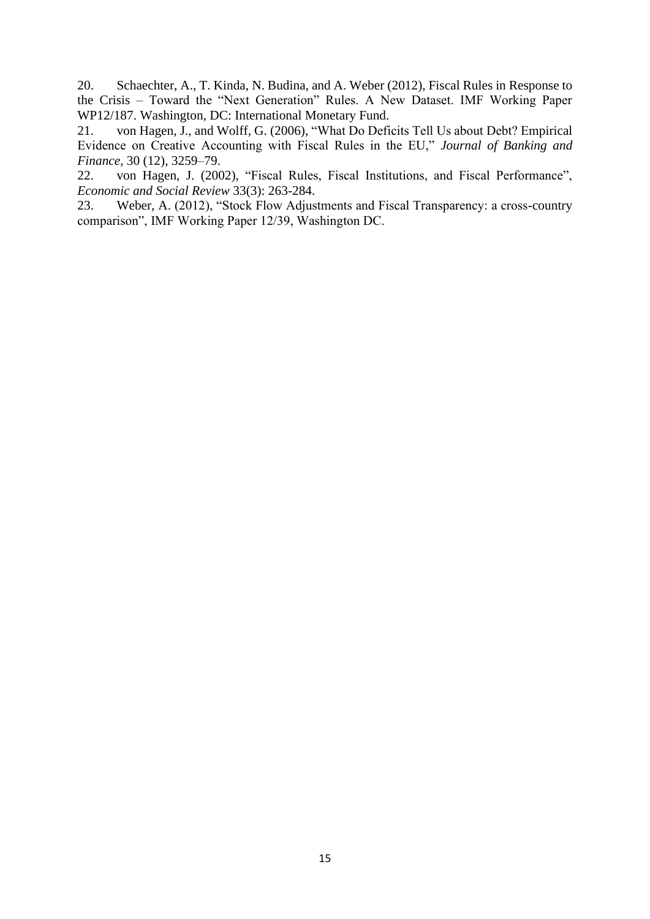20. Schaechter, A., T. Kinda, N. Budina, and A. Weber (2012), Fiscal Rules in Response to the Crisis – Toward the "Next Generation" Rules. A New Dataset. IMF Working Paper WP12/187. Washington, DC: International Monetary Fund.

21. von Hagen, J., and Wolff, G. (2006), "What Do Deficits Tell Us about Debt? Empirical Evidence on Creative Accounting with Fiscal Rules in the EU," *Journal of Banking and Finance*, 30 (12), 3259–79.

22. von Hagen, J. (2002), "Fiscal Rules, Fiscal Institutions, and Fiscal Performance", *Economic and Social Review* 33(3): 263-284.

23. Weber, A. (2012), "Stock Flow Adjustments and Fiscal Transparency: a cross-country comparison", IMF Working Paper 12/39, Washington DC.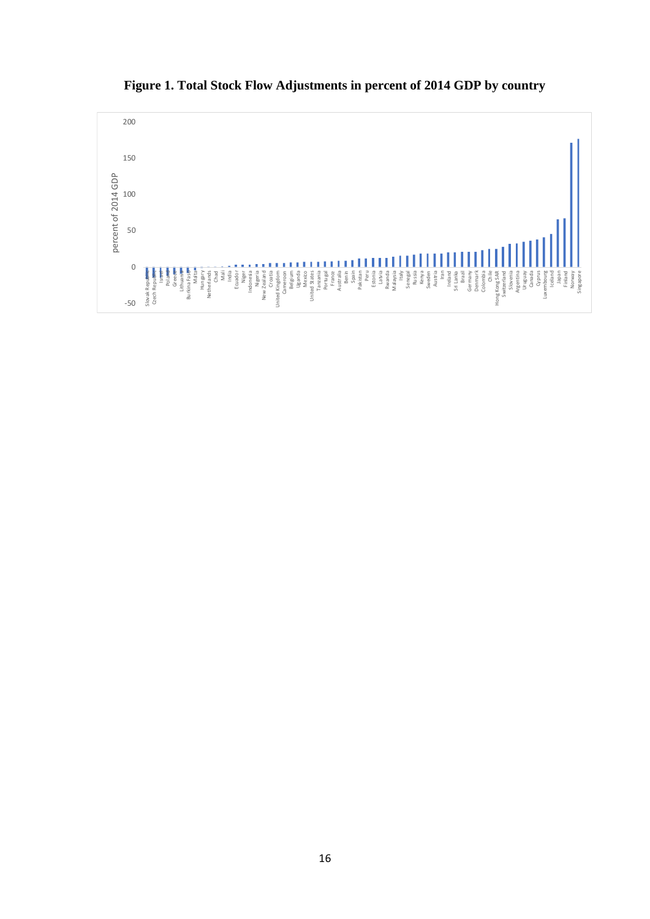

**Figure 1. Total Stock Flow Adjustments in percent of 2014 GDP by country**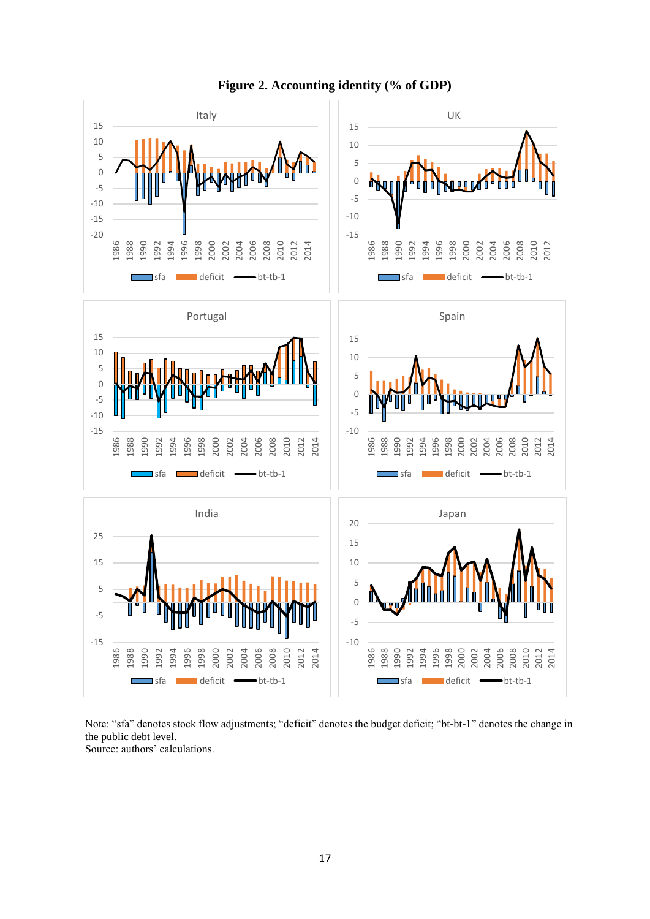

**Figure 2. Accounting identity (% of GDP)**

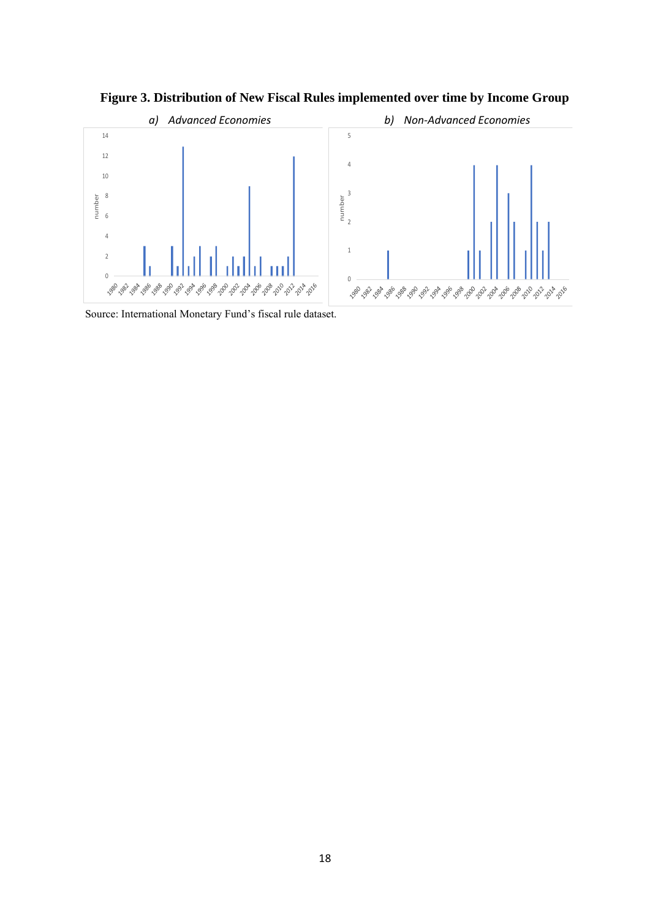



Source: International Monetary Fund's fiscal rule dataset.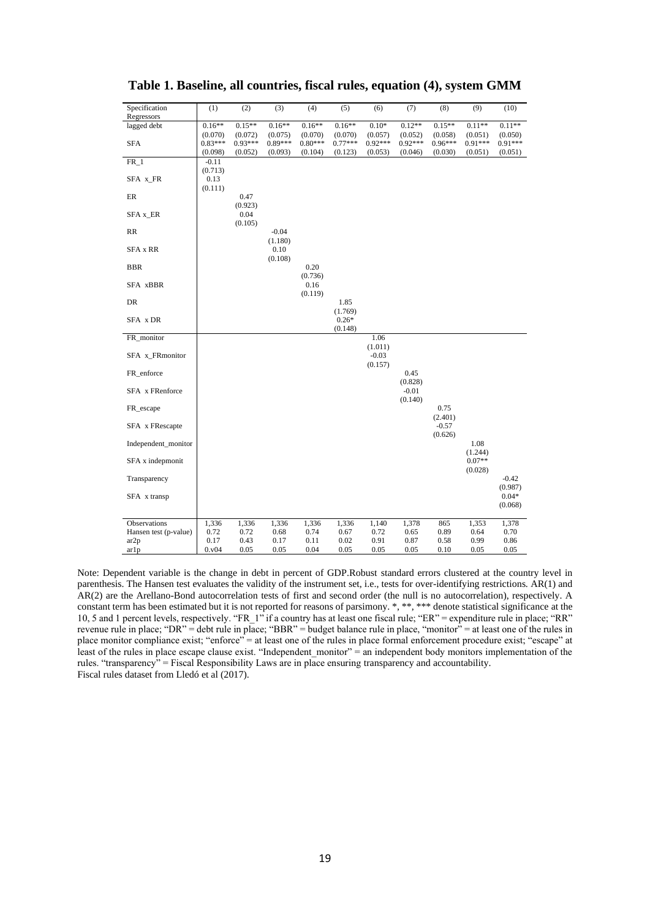| Specification<br>Regressors   | (1)                  | (2)                        | (3)                  | (4)                  | (5)                           | (6)                           | (7)                  | (8)                  | (9)                  | (10)                          |
|-------------------------------|----------------------|----------------------------|----------------------|----------------------|-------------------------------|-------------------------------|----------------------|----------------------|----------------------|-------------------------------|
| lagged debt                   | $0.16**$             | $0.15**$                   | $0.16**$             | $0.16**$             | $0.16**$                      | $0.10*$                       | $0.12**$             | $0.15**$             | $0.11**$             | $0.11**$                      |
| <b>SFA</b>                    | (0.070)<br>$0.83***$ | (0.072)<br>$0.93***$       | (0.075)<br>$0.89***$ | (0.070)<br>$0.80***$ | (0.070)<br>$0.77***$          | (0.057)<br>$0.92***$          | (0.052)<br>$0.92***$ | (0.058)<br>$0.96***$ | (0.051)<br>$0.91***$ | (0.050)<br>$0.91***$          |
|                               | (0.098)              | (0.052)                    | (0.093)              | (0.104)              | (0.123)                       | (0.053)                       | (0.046)              | (0.030)              | (0.051)              | (0.051)                       |
| $FR_1$                        | $-0.11$<br>(0.713)   |                            |                      |                      |                               |                               |                      |                      |                      |                               |
| SFA x_FR                      | 0.13<br>(0.111)      |                            |                      |                      |                               |                               |                      |                      |                      |                               |
| ER                            |                      | 0.47                       |                      |                      |                               |                               |                      |                      |                      |                               |
| SFA x_ER                      |                      | (0.923)<br>0.04<br>(0.105) |                      |                      |                               |                               |                      |                      |                      |                               |
| RR                            |                      |                            | $-0.04$<br>(1.180)   |                      |                               |                               |                      |                      |                      |                               |
| <b>SFA x RR</b>               |                      |                            | 0.10<br>(0.108)      |                      |                               |                               |                      |                      |                      |                               |
| <b>BBR</b>                    |                      |                            |                      | 0.20<br>(0.736)      |                               |                               |                      |                      |                      |                               |
| SFA xBBR                      |                      |                            |                      | 0.16<br>(0.119)      |                               |                               |                      |                      |                      |                               |
| DR                            |                      |                            |                      |                      | 1.85                          |                               |                      |                      |                      |                               |
| SFA x DR                      |                      |                            |                      |                      | (1.769)<br>$0.26*$<br>(0.148) |                               |                      |                      |                      |                               |
| FR_monitor                    |                      |                            |                      |                      |                               | 1.06                          |                      |                      |                      |                               |
| SFA x_FRmonitor               |                      |                            |                      |                      |                               | (1.011)<br>$-0.03$<br>(0.157) |                      |                      |                      |                               |
| FR_enforce                    |                      |                            |                      |                      |                               |                               | 0.45<br>(0.828)      |                      |                      |                               |
| SFA x FRenforce               |                      |                            |                      |                      |                               |                               | $-0.01$<br>(0.140)   |                      |                      |                               |
| FR_escape                     |                      |                            |                      |                      |                               |                               |                      | 0.75<br>(2.401)      |                      |                               |
| SFA x FRescapte               |                      |                            |                      |                      |                               |                               |                      | $-0.57$<br>(0.626)   |                      |                               |
| Independent_monitor           |                      |                            |                      |                      |                               |                               |                      |                      | 1.08<br>(1.244)      |                               |
| SFA x indepmonit              |                      |                            |                      |                      |                               |                               |                      |                      | $0.07**$<br>(0.028)  |                               |
| Transparency                  |                      |                            |                      |                      |                               |                               |                      |                      |                      | $-0.42$                       |
| SFA x transp                  |                      |                            |                      |                      |                               |                               |                      |                      |                      | (0.987)<br>$0.04*$<br>(0.068) |
|                               |                      |                            |                      |                      |                               |                               |                      |                      |                      |                               |
| Observations                  | 1,336                | 1,336                      | 1,336                | 1,336                | 1,336                         | 1,140                         | 1,378                | 865                  | 1,353                | 1,378                         |
| Hansen test (p-value)<br>ar2p | 0.72<br>0.17         | 0.72<br>0.43               | 0.68<br>0.17         | 0.74<br>0.11         | 0.67<br>0.02                  | 0.72<br>0.91                  | 0.65<br>0.87         | 0.89<br>0.58         | 0.64<br>0.99         | $0.70\,$<br>0.86              |
| arlp                          | 0.v04                | 0.05                       | 0.05                 | 0.04                 | 0.05                          | 0.05                          | 0.05                 | 0.10                 | 0.05                 | 0.05                          |

**Table 1. Baseline, all countries, fiscal rules, equation (4), system GMM**

Note: Dependent variable is the change in debt in percent of GDP.Robust standard errors clustered at the country level in parenthesis. The Hansen test evaluates the validity of the instrument set, i.e., tests for over-identifying restrictions. AR(1) and AR(2) are the Arellano-Bond autocorrelation tests of first and second order (the null is no autocorrelation), respectively. A constant term has been estimated but it is not reported for reasons of parsimony. \*, \*\*, \*\*\* denote statistical significance at the 10, 5 and 1 percent levels, respectively. "FR\_1" if a country has at least one fiscal rule; "ER" = expenditure rule in place; "RR" revenue rule in place; "DR" = debt rule in place; "BBR" = budget balance rule in place, "monitor" = at least one of the rules in place monitor compliance exist; "enforce" = at least one of the rules in place formal enforcement procedure exist; "escape" at least of the rules in place escape clause exist. "Independent monitor" = an independent body monitors implementation of the rules. "transparency" = Fiscal Responsibility Laws are in place ensuring transparency and accountability. Fiscal rules dataset from Lledó et al (2017).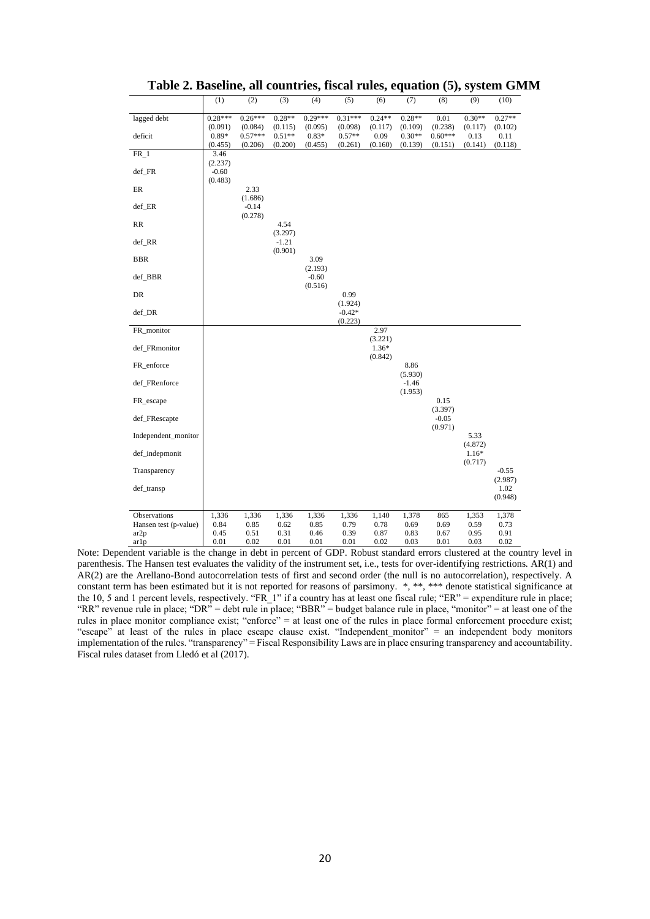|                          | (1)                           | (2)                  | (3)                 | (4)                | (5)                 | (6)                           | (7)                 | (8)                  | (9)                | (10)               |
|--------------------------|-------------------------------|----------------------|---------------------|--------------------|---------------------|-------------------------------|---------------------|----------------------|--------------------|--------------------|
| lagged debt              | $0.28***$                     | $0.26***$            | $0.28**$            | $0.29***$          | $0.31***$           | $0.24**$                      | $0.28**$            | 0.01                 | $0.30**$           | $0.27**$           |
| deficit                  | (0.091)<br>$0.89*$            | (0.084)<br>$0.57***$ | (0.115)<br>$0.51**$ | (0.095)<br>$0.83*$ | (0.098)<br>$0.57**$ | (0.117)<br>0.09               | (0.109)<br>$0.30**$ | (0.238)<br>$0.60***$ | (0.117)<br>0.13    | (0.102)<br>0.11    |
|                          | (0.455)                       | (0.206)              | (0.200)             | (0.455)            | (0.261)             | (0.160)                       | (0.139)             | (0.151)              | (0.141)            | (0.118)            |
| $FR_1$                   | 3.46                          |                      |                     |                    |                     |                               |                     |                      |                    |                    |
| $def_FR$                 | (2.237)<br>$-0.60$<br>(0.483) |                      |                     |                    |                     |                               |                     |                      |                    |                    |
| ER                       |                               | 2.33<br>(1.686)      |                     |                    |                     |                               |                     |                      |                    |                    |
| def_ER                   |                               | $-0.14$<br>(0.278)   |                     |                    |                     |                               |                     |                      |                    |                    |
| RR                       |                               |                      | 4.54<br>(3.297)     |                    |                     |                               |                     |                      |                    |                    |
| def_RR                   |                               |                      | $-1.21$<br>(0.901)  |                    |                     |                               |                     |                      |                    |                    |
| BBR                      |                               |                      |                     | 3.09<br>(2.193)    |                     |                               |                     |                      |                    |                    |
| def_BBR                  |                               |                      |                     | $-0.60$<br>(0.516) |                     |                               |                     |                      |                    |                    |
| DR                       |                               |                      |                     |                    | 0.99<br>(1.924)     |                               |                     |                      |                    |                    |
| def_DR                   |                               |                      |                     |                    | $-0.42*$<br>(0.223) |                               |                     |                      |                    |                    |
| FR_monitor               |                               |                      |                     |                    |                     | 2.97                          |                     |                      |                    |                    |
| def_FRmonitor            |                               |                      |                     |                    |                     | (3.221)<br>$1.36*$<br>(0.842) |                     |                      |                    |                    |
| FR_enforce               |                               |                      |                     |                    |                     |                               | 8.86<br>(5.930)     |                      |                    |                    |
| def_FRenforce            |                               |                      |                     |                    |                     |                               | $-1.46$<br>(1.953)  |                      |                    |                    |
| FR_escape                |                               |                      |                     |                    |                     |                               |                     | 0.15<br>(3.397)      |                    |                    |
| def_FRescapte            |                               |                      |                     |                    |                     |                               |                     | $-0.05$<br>(0.971)   |                    |                    |
| Independent_monitor      |                               |                      |                     |                    |                     |                               |                     |                      | 5.33<br>(4.872)    |                    |
| def_indepmonit           |                               |                      |                     |                    |                     |                               |                     |                      | $1.16*$<br>(0.717) |                    |
| Transparency             |                               |                      |                     |                    |                     |                               |                     |                      |                    | $-0.55$<br>(2.987) |
| def_transp               |                               |                      |                     |                    |                     |                               |                     |                      |                    | 1.02<br>(0.948)    |
| Observations             | 1,336                         | 1,336                | 1,336               | 1,336              | 1,336               | 1,140                         | 1,378               | 865                  | 1,353              | 1,378              |
| Hansen test (p-value)    | 0.84                          | 0.85                 | 0.62                | 0.85               | 0.79                | 0.78                          | 0.69                | 0.69                 | 0.59               | 0.73               |
| ar <sub>2p</sub><br>arlp | 0.45<br>0.01                  | 0.51<br>0.02         | 0.31<br>0.01        | 0.46<br>0.01       | 0.39<br>0.01        | 0.87<br>0.02                  | 0.83<br>0.03        | 0.67<br>0.01         | 0.95<br>0.03       | 0.91<br>0.02       |
|                          |                               |                      |                     |                    |                     |                               |                     |                      |                    |                    |

**Table 2. Baseline, all countries, fiscal rules, equation (5), system GMM**

Note: Dependent variable is the change in debt in percent of GDP. Robust standard errors clustered at the country level in parenthesis. The Hansen test evaluates the validity of the instrument set, i.e., tests for over-identifying restrictions. AR(1) and AR(2) are the Arellano-Bond autocorrelation tests of first and second order (the null is no autocorrelation), respectively. A constant term has been estimated but it is not reported for reasons of parsimony. \*, \*\*, \*\*\* denote statistical significance at the 10, 5 and 1 percent levels, respectively. "FR<sub>1</sub>" if a country has at least one fiscal rule; "ER" = expenditure rule in place; "RR" revenue rule in place; "DR" = debt rule in place; "BBR" = budget balance rule in place, "monitor" = at least one of the rules in place monitor compliance exist; "enforce" = at least one of the rules in place formal enforcement procedure exist; "escape" at least of the rules in place escape clause exist. "Independent\_monitor" = an independent body monitors implementation of the rules. "transparency" = Fiscal Responsibility Laws are in place ensuring transparency and accountability. Fiscal rules dataset from Lledó et al (2017).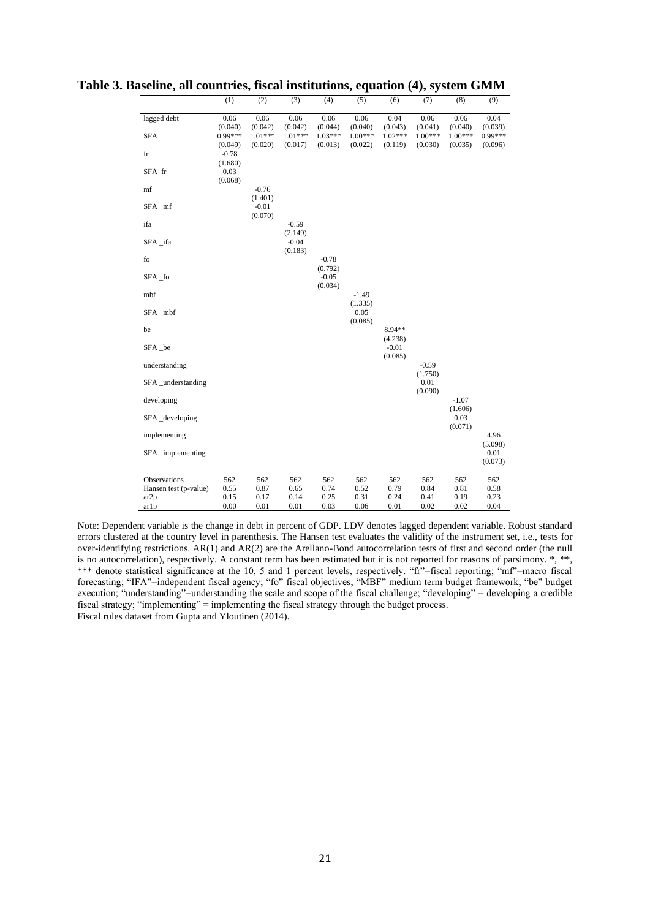|                          | (1)                  | (2)                  | (3)                  | (4)                  | (5)                  | (6)                  | (7)                  | (8)                  | (9)                |
|--------------------------|----------------------|----------------------|----------------------|----------------------|----------------------|----------------------|----------------------|----------------------|--------------------|
| lagged debt              | 0.06                 | 0.06                 | 0.06                 | 0.06                 | 0.06                 | 0.04                 | 0.06                 | 0.06                 | 0.04               |
| <b>SFA</b>               | (0.040)<br>$0.99***$ | (0.042)<br>$1.01***$ | (0.042)<br>$1.01***$ | (0.044)<br>$1.03***$ | (0.040)<br>$1.00***$ | (0.043)<br>$1.02***$ | (0.041)<br>$1.00***$ | (0.040)<br>$1.00***$ | (0.039)<br>0.99*** |
|                          | (0.049)              | (0.020)              | (0.017)              | (0.013)              | (0.022)              | (0.119)              | (0.030)              | (0.035)              | (0.096)            |
| $_{\rm fr}$              | $-0.78$<br>(1.680)   |                      |                      |                      |                      |                      |                      |                      |                    |
| SFA_fr                   | 0.03                 |                      |                      |                      |                      |                      |                      |                      |                    |
| mf                       | (0.068)              | $-0.76$              |                      |                      |                      |                      |                      |                      |                    |
|                          |                      | (1.401)              |                      |                      |                      |                      |                      |                      |                    |
| SFA_mf                   |                      | $-0.01$              |                      |                      |                      |                      |                      |                      |                    |
| ifa                      |                      | (0.070)              | $-0.59$              |                      |                      |                      |                      |                      |                    |
|                          |                      |                      | (2.149)              |                      |                      |                      |                      |                      |                    |
| SFA_ifa                  |                      |                      | $-0.04$<br>(0.183)   |                      |                      |                      |                      |                      |                    |
| fo                       |                      |                      |                      | $-0.78$              |                      |                      |                      |                      |                    |
| SFA_fo                   |                      |                      |                      | (0.792)<br>$-0.05$   |                      |                      |                      |                      |                    |
|                          |                      |                      |                      | (0.034)              |                      |                      |                      |                      |                    |
| mbf                      |                      |                      |                      |                      | $-1.49$<br>(1.335)   |                      |                      |                      |                    |
| SFA_mbf                  |                      |                      |                      |                      | 0.05<br>(0.085)      |                      |                      |                      |                    |
| be                       |                      |                      |                      |                      |                      | 8.94**               |                      |                      |                    |
| SFA _be                  |                      |                      |                      |                      |                      | (4.238)<br>$-0.01$   |                      |                      |                    |
|                          |                      |                      |                      |                      |                      | (0.085)              |                      |                      |                    |
| understanding            |                      |                      |                      |                      |                      |                      | $-0.59$<br>(1.750)   |                      |                    |
| SFA_understanding        |                      |                      |                      |                      |                      |                      | 0.01                 |                      |                    |
| developing               |                      |                      |                      |                      |                      |                      | (0.090)              | $-1.07$              |                    |
| SFA_developing           |                      |                      |                      |                      |                      |                      |                      | (1.606)<br>0.03      |                    |
|                          |                      |                      |                      |                      |                      |                      |                      | (0.071)              |                    |
| implementing             |                      |                      |                      |                      |                      |                      |                      |                      | 4.96<br>(5.098)    |
| SFA_implementing         |                      |                      |                      |                      |                      |                      |                      |                      | 0.01               |
|                          |                      |                      |                      |                      |                      |                      |                      |                      | (0.073)            |
| Observations             | 562                  | 562                  | 562                  | 562                  | 562                  | 562                  | 562                  | 562                  | 562                |
| Hansen test (p-value)    | 0.55<br>0.15         | 0.87<br>0.17         | 0.65<br>0.14         | 0.74<br>0.25         | 0.52<br>0.31         | 0.79<br>0.24         | 0.84<br>0.41         | 0.81<br>0.19         | 0.58<br>0.23       |
| ar <sub>2p</sub><br>arlp | 0.00                 | 0.01                 | 0.01                 | 0.03                 | 0.06                 | 0.01                 | 0.02                 | 0.02                 | 0.04               |

**Table 3. Baseline, all countries, fiscal institutions, equation (4), system GMM**

Note: Dependent variable is the change in debt in percent of GDP. LDV denotes lagged dependent variable. Robust standard errors clustered at the country level in parenthesis. The Hansen test evaluates the validity of the instrument set, i.e., tests for over-identifying restrictions. AR(1) and AR(2) are the Arellano-Bond autocorrelation tests of first and second order (the null is no autocorrelation), respectively. A constant term has been estimated but it is not reported for reasons of parsimony. \*, \*\*, \*\*\* denote statistical significance at the 10, 5 and 1 percent levels, respectively. "fr"=fiscal reporting; "mf"=macro fiscal forecasting; "IFA"=independent fiscal agency; "fo" fiscal objectives; "MBF" medium term budget framework; "be" budget execution; "understanding"=understanding the scale and scope of the fiscal challenge; "developing" = developing a credible fiscal strategy; "implementing" = implementing the fiscal strategy through the budget process. Fiscal rules dataset from Gupta and Yloutinen (2014).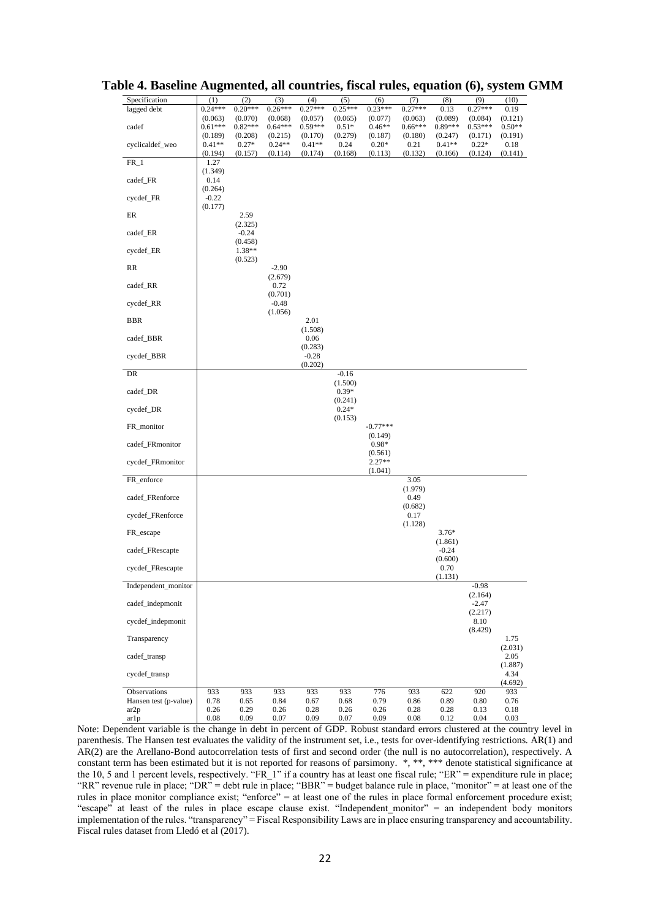|                               | o                    |                      |                      |                      | ╯                  |                     | ,<br>д,              |                      | $\sim$<br>$\overline{\phantom{a}}$<br>ັ |                     |
|-------------------------------|----------------------|----------------------|----------------------|----------------------|--------------------|---------------------|----------------------|----------------------|-----------------------------------------|---------------------|
| Specification                 | (1)                  | (2)                  | (3)                  | (4)                  | (5)                | (6)                 | (7)                  | (8)                  | (9)                                     | (10)                |
| lagged debt                   | $0.24***$            | $0.20***$            | $0.26***$            | $0.27***$            | $0.25***$          | $0.23***$           | $0.27***$            | 0.13                 | $0.27***$                               | 0.19                |
| cadef                         | (0.063)<br>$0.61***$ | (0.070)<br>$0.82***$ | (0.068)<br>$0.64***$ | (0.057)<br>$0.59***$ | (0.065)<br>$0.51*$ | (0.077)<br>$0.46**$ | (0.063)<br>$0.66***$ | (0.089)<br>$0.89***$ | (0.084)<br>$0.53***$                    | (0.121)<br>$0.50**$ |
|                               | (0.189)              | (0.208)              | (0.215)              | (0.170)              | (0.279)            | (0.187)             | (0.180)              | (0.247)              | (0.171)                                 | (0.191)             |
| cyclicaldef_weo               | $0.41**$             | $0.27*$              | $0.24**$             | $0.41**$             | 0.24               | $0.20*$             | 0.21                 | $0.41**$             | $0.22*$                                 | 0.18                |
|                               | (0.194)              | (0.157)              | (0.114)              | (0.174)              | (0.168)            | (0.113)             | (0.132)              | (0.166)              | (0.124)                                 | (0.141)             |
| $FR_1$                        | 1.27<br>(1.349)      |                      |                      |                      |                    |                     |                      |                      |                                         |                     |
| cadef_FR                      | 0.14                 |                      |                      |                      |                    |                     |                      |                      |                                         |                     |
|                               | (0.264)              |                      |                      |                      |                    |                     |                      |                      |                                         |                     |
| cycdef_FR                     | $-0.22$              |                      |                      |                      |                    |                     |                      |                      |                                         |                     |
| ER                            | (0.177)              | 2.59                 |                      |                      |                    |                     |                      |                      |                                         |                     |
|                               |                      | (2.325)              |                      |                      |                    |                     |                      |                      |                                         |                     |
| cadef_ER                      |                      | $-0.24$              |                      |                      |                    |                     |                      |                      |                                         |                     |
| cycdef_ER                     |                      | (0.458)<br>1.38**    |                      |                      |                    |                     |                      |                      |                                         |                     |
|                               |                      | (0.523)              |                      |                      |                    |                     |                      |                      |                                         |                     |
| RR                            |                      |                      | $-2.90$              |                      |                    |                     |                      |                      |                                         |                     |
|                               |                      |                      | (2.679)              |                      |                    |                     |                      |                      |                                         |                     |
| $cadef_RR$                    |                      |                      | 0.72<br>(0.701)      |                      |                    |                     |                      |                      |                                         |                     |
| cycdef_RR                     |                      |                      | $-0.48$              |                      |                    |                     |                      |                      |                                         |                     |
|                               |                      |                      | (1.056)              |                      |                    |                     |                      |                      |                                         |                     |
| BBR                           |                      |                      |                      | 2.01                 |                    |                     |                      |                      |                                         |                     |
| cadef_BBR                     |                      |                      |                      | (1.508)<br>0.06      |                    |                     |                      |                      |                                         |                     |
|                               |                      |                      |                      | (0.283)              |                    |                     |                      |                      |                                         |                     |
| cycdef_BBR                    |                      |                      |                      | $-0.28$              |                    |                     |                      |                      |                                         |                     |
| DR                            |                      |                      |                      | (0.202)              | $-0.16$            |                     |                      |                      |                                         |                     |
|                               |                      |                      |                      |                      | (1.500)            |                     |                      |                      |                                         |                     |
| cadef_DR                      |                      |                      |                      |                      | $0.39*$            |                     |                      |                      |                                         |                     |
|                               |                      |                      |                      |                      | (0.241)            |                     |                      |                      |                                         |                     |
| cycdef_DR                     |                      |                      |                      |                      | $0.24*$<br>(0.153) |                     |                      |                      |                                         |                     |
| FR_monitor                    |                      |                      |                      |                      |                    | $-0.77***$          |                      |                      |                                         |                     |
|                               |                      |                      |                      |                      |                    | (0.149)             |                      |                      |                                         |                     |
| cadef_FRmonitor               |                      |                      |                      |                      |                    | $0.98*$<br>(0.561)  |                      |                      |                                         |                     |
| cycdef_FRmonitor              |                      |                      |                      |                      |                    | $2.27**$            |                      |                      |                                         |                     |
|                               |                      |                      |                      |                      |                    | (1.041)             |                      |                      |                                         |                     |
| FR_enforce                    |                      |                      |                      |                      |                    |                     | 3.05                 |                      |                                         |                     |
| cadef_FRenforce               |                      |                      |                      |                      |                    |                     | (1.979)<br>0.49      |                      |                                         |                     |
|                               |                      |                      |                      |                      |                    |                     | (0.682)              |                      |                                         |                     |
| cycdef_FRenforce              |                      |                      |                      |                      |                    |                     | 0.17                 |                      |                                         |                     |
|                               |                      |                      |                      |                      |                    |                     | (1.128)              |                      |                                         |                     |
| FR_escape                     |                      |                      |                      |                      |                    |                     |                      | $3.76*$<br>(1.861)   |                                         |                     |
| cadef_FRescapte               |                      |                      |                      |                      |                    |                     |                      | $-0.24$              |                                         |                     |
|                               |                      |                      |                      |                      |                    |                     |                      | (0.600)              |                                         |                     |
| cycdef_FRescapte              |                      |                      |                      |                      |                    |                     |                      | 0.70<br>(1.131)      |                                         |                     |
| Independent_monitor           |                      |                      |                      |                      |                    |                     |                      |                      | $-0.98$                                 |                     |
|                               |                      |                      |                      |                      |                    |                     |                      |                      | (2.164)                                 |                     |
| cadef_indepmonit              |                      |                      |                      |                      |                    |                     |                      |                      | $-2.47$                                 |                     |
| cycdef_indepmonit             |                      |                      |                      |                      |                    |                     |                      |                      | (2.217)<br>8.10                         |                     |
|                               |                      |                      |                      |                      |                    |                     |                      |                      | (8.429)                                 |                     |
| Transparency                  |                      |                      |                      |                      |                    |                     |                      |                      |                                         | 1.75                |
|                               |                      |                      |                      |                      |                    |                     |                      |                      |                                         | (2.031)             |
| cadef_transp                  |                      |                      |                      |                      |                    |                     |                      |                      |                                         | 2.05<br>(1.887)     |
| cycdef_transp                 |                      |                      |                      |                      |                    |                     |                      |                      |                                         | 4.34                |
|                               |                      |                      |                      |                      |                    |                     |                      |                      |                                         | (4.692)             |
| Observations                  | 933                  | 933                  | 933                  | 933                  | 933                | 776                 | 933                  | 622                  | 920                                     | 933                 |
| Hansen test (p-value)<br>ar2p | 0.78<br>0.26         | 0.65<br>0.29         | 0.84<br>0.26         | 0.67<br>0.28         | 0.68<br>0.26       | 0.79<br>0.26        | 0.86<br>0.28         | 0.89<br>0.28         | 0.80<br>0.13                            | 0.76<br>0.18        |
| arlp                          | 0.08                 | 0.09                 | 0.07                 | 0.09                 | 0.07               | 0.09                | 0.08                 | 0.12                 | 0.04                                    | $0.03\,$            |
|                               |                      |                      |                      |                      |                    |                     |                      |                      |                                         |                     |

**Table 4. Baseline Augmented, all countries, fiscal rules, equation (6), system GMM**

Note: Dependent variable is the change in debt in percent of GDP. Robust standard errors clustered at the country level in parenthesis. The Hansen test evaluates the validity of the instrument set, i.e., tests for over-identifying restrictions. AR(1) and AR(2) are the Arellano-Bond autocorrelation tests of first and second order (the null is no autocorrelation), respectively. A constant term has been estimated but it is not reported for reasons of parsimony. \*, \*\*, \*\*\* denote statistical significance at the 10, 5 and 1 percent levels, respectively. "FR\_1" if a country has at least one fiscal rule; "ER" = expenditure rule in place; "RR" revenue rule in place; "DR" = debt rule in place; "BBR" = budget balance rule in place, "monitor" = at least one of the rules in place monitor compliance exist; "enforce" = at least one of the rules in place formal enforcement procedure exist; "escape" at least of the rules in place escape clause exist. "Independent\_monitor" = an independent body monitors implementation of the rules. "transparency" = Fiscal Responsibility Laws are in place ensuring transparency and accountability. Fiscal rules dataset from Lledó et al (2017).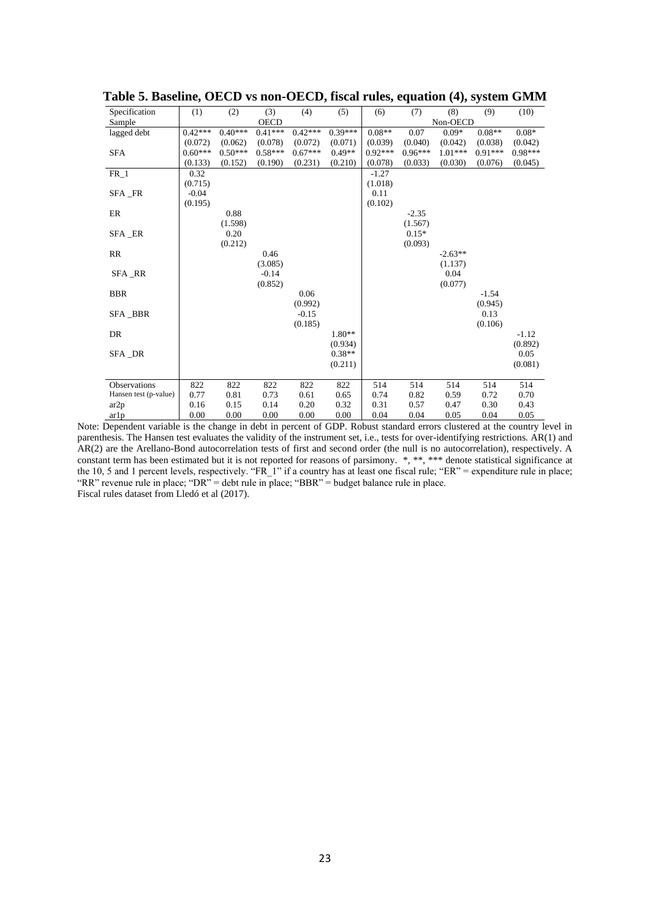| Specification         | (1)       | (2)       | (3)         | (4)       | (5)       | (6)       | (7)       | (8)       | (9)       | (10)      |
|-----------------------|-----------|-----------|-------------|-----------|-----------|-----------|-----------|-----------|-----------|-----------|
| Sample                |           |           | <b>OECD</b> |           |           |           |           | Non-OECD  |           |           |
| lagged debt           | $0.42***$ | $0.40***$ | $0.41***$   | $0.42***$ | $0.39***$ | $0.08**$  | 0.07      | $0.09*$   | $0.08**$  | $0.08*$   |
|                       | (0.072)   | (0.062)   | (0.078)     | (0.072)   | (0.071)   | (0.039)   | (0.040)   | (0.042)   | (0.038)   | (0.042)   |
| <b>SFA</b>            | $0.60***$ | $0.50***$ | $0.58***$   | $0.67***$ | $0.49**$  | $0.92***$ | $0.96***$ | $1.01***$ | $0.91***$ | $0.98***$ |
|                       | (0.133)   | (0.152)   | (0.190)     | (0.231)   | (0.210)   | (0.078)   | (0.033)   | (0.030)   | (0.076)   | (0.045)   |
| FR 1                  | 0.32      |           |             |           |           | $-1.27$   |           |           |           |           |
|                       | (0.715)   |           |             |           |           | (1.018)   |           |           |           |           |
| SFA_FR                | $-0.04$   |           |             |           |           | 0.11      |           |           |           |           |
|                       | (0.195)   |           |             |           |           | (0.102)   |           |           |           |           |
| ER                    |           | 0.88      |             |           |           |           | $-2.35$   |           |           |           |
|                       |           | (1.598)   |             |           |           |           | (1.567)   |           |           |           |
| SFA_ER                |           | 0.20      |             |           |           |           | $0.15*$   |           |           |           |
|                       |           | (0.212)   |             |           |           |           | (0.093)   |           |           |           |
| RR                    |           |           | 0.46        |           |           |           |           | $-2.63**$ |           |           |
|                       |           |           | (3.085)     |           |           |           |           | (1.137)   |           |           |
| SFA RR                |           |           | $-0.14$     |           |           |           |           | 0.04      |           |           |
|                       |           |           | (0.852)     |           |           |           |           | (0.077)   |           |           |
| <b>BBR</b>            |           |           |             | 0.06      |           |           |           |           | $-1.54$   |           |
|                       |           |           |             | (0.992)   |           |           |           |           | (0.945)   |           |
| SFA BBR               |           |           |             | $-0.15$   |           |           |           |           | 0.13      |           |
|                       |           |           |             | (0.185)   |           |           |           |           | (0.106)   |           |
| DR                    |           |           |             |           | $1.80**$  |           |           |           |           | $-1.12$   |
|                       |           |           |             |           | (0.934)   |           |           |           |           | (0.892)   |
| SFA DR                |           |           |             |           | $0.38**$  |           |           |           |           | 0.05      |
|                       |           |           |             |           | (0.211)   |           |           |           |           | (0.081)   |
|                       |           |           |             |           |           |           |           |           |           |           |
| <b>Observations</b>   | 822       | 822       | 822         | 822       | 822       | 514       | 514       | 514       | 514       | 514       |
| Hansen test (p-value) | 0.77      | 0.81      | 0.73        | 0.61      | 0.65      | 0.74      | 0.82      | 0.59      | 0.72      | 0.70      |
| ar2p                  | 0.16      | 0.15      | 0.14        | 0.20      | 0.32      | 0.31      | 0.57      | 0.47      | 0.30      | 0.43      |
| ar1p                  | 0.00      | 0.00      | 0.00        | 0.00      | 0.00      | 0.04      | 0.04      | 0.05      | 0.04      | 0.05      |

**Table 5. Baseline, OECD vs non-OECD, fiscal rules, equation (4), system GMM**

Note: Dependent variable is the change in debt in percent of GDP. Robust standard errors clustered at the country level in parenthesis. The Hansen test evaluates the validity of the instrument set, i.e., tests for over-identifying restrictions. AR(1) and AR(2) are the Arellano-Bond autocorrelation tests of first and second order (the null is no autocorrelation), respectively. A constant term has been estimated but it is not reported for reasons of parsimony. \*, \*\*, \*\*\* denote statistical significance at the 10, 5 and 1 percent levels, respectively. "FR\_1" if a country has at least one fiscal rule; "ER" = expenditure rule in place; "RR" revenue rule in place; "DR" = debt rule in place; "BBR" = budget balance rule in place. Fiscal rules dataset from Lledó et al (2017).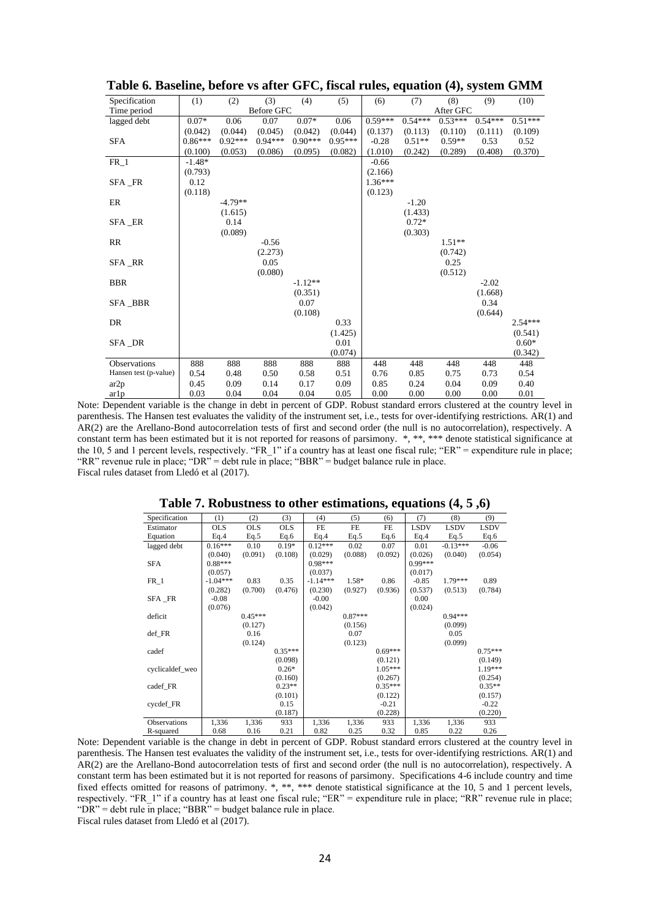| Specification         | (1)       | (2)       | (3)               | (4)       | (5)       | (6)       | (7)       | (8)       | (9)       | (10)      |  |
|-----------------------|-----------|-----------|-------------------|-----------|-----------|-----------|-----------|-----------|-----------|-----------|--|
| Time period           |           |           | <b>Before GFC</b> |           |           | After GFC |           |           |           |           |  |
| lagged debt           | $0.07*$   | 0.06      | 0.07              | $0.07*$   | 0.06      | $0.59***$ | $0.54***$ | $0.53***$ | $0.54***$ | $0.51***$ |  |
|                       | (0.042)   | (0.044)   | (0.045)           | (0.042)   | (0.044)   | (0.137)   | (0.113)   | (0.110)   | (0.111)   | (0.109)   |  |
| <b>SFA</b>            | $0.86***$ | $0.92***$ | $0.94***$         | $0.90***$ | $0.95***$ | $-0.28$   | $0.51**$  | $0.59**$  | 0.53      | 0.52      |  |
|                       | (0.100)   | (0.053)   | (0.086)           | (0.095)   | (0.082)   | (1.010)   | (0.242)   | (0.289)   | (0.408)   | (0.370)   |  |
| $FR_1$                | $-1.48*$  |           |                   |           |           | $-0.66$   |           |           |           |           |  |
|                       | (0.793)   |           |                   |           |           | (2.166)   |           |           |           |           |  |
| SFA_FR                | 0.12      |           |                   |           |           | $1.36***$ |           |           |           |           |  |
|                       | (0.118)   |           |                   |           |           | (0.123)   |           |           |           |           |  |
| ER                    |           | $-4.79**$ |                   |           |           |           | $-1.20$   |           |           |           |  |
|                       |           | (1.615)   |                   |           |           |           | (1.433)   |           |           |           |  |
| SFA _ER               |           | 0.14      |                   |           |           |           | $0.72*$   |           |           |           |  |
|                       |           | (0.089)   |                   |           |           |           | (0.303)   |           |           |           |  |
| RR                    |           |           | $-0.56$           |           |           |           |           | $1.51**$  |           |           |  |
|                       |           |           | (2.273)           |           |           |           |           | (0.742)   |           |           |  |
| SFA RR                |           |           | 0.05              |           |           |           |           | 0.25      |           |           |  |
|                       |           |           | (0.080)           |           |           |           |           | (0.512)   |           |           |  |
| <b>BBR</b>            |           |           |                   | $-1.12**$ |           |           |           |           | $-2.02$   |           |  |
|                       |           |           |                   | (0.351)   |           |           |           |           | (1.668)   |           |  |
| SFA BBR               |           |           |                   | 0.07      |           |           |           |           | 0.34      |           |  |
|                       |           |           |                   | (0.108)   |           |           |           |           | (0.644)   |           |  |
| <b>DR</b>             |           |           |                   |           | 0.33      |           |           |           |           | $2.54***$ |  |
|                       |           |           |                   |           |           |           |           |           |           |           |  |
|                       |           |           |                   |           | (1.425)   |           |           |           |           | (0.541)   |  |
| SFA _DR               |           |           |                   |           | 0.01      |           |           |           |           | $0.60*$   |  |
|                       |           |           |                   |           | (0.074)   |           |           |           |           | (0.342)   |  |
| <b>Observations</b>   | 888       | 888       | 888               | 888       | 888       | 448       | 448       | 448       | 448       | 448       |  |
| Hansen test (p-value) | 0.54      | 0.48      | 0.50              | 0.58      | 0.51      | 0.76      | 0.85      | 0.75      | 0.73      | 0.54      |  |
| ar2p                  | 0.45      | 0.09      | 0.14              | 0.17      | 0.09      | 0.85      | 0.24      | 0.04      | 0.09      | 0.40      |  |
| ar1p                  | 0.03      | 0.04      | 0.04              | 0.04      | 0.05      | 0.00      | 0.00      | 0.00      | 0.00      | 0.01      |  |

**Table 6. Baseline, before vs after GFC, fiscal rules, equation (4), system GMM**

Note: Dependent variable is the change in debt in percent of GDP. Robust standard errors clustered at the country level in parenthesis. The Hansen test evaluates the validity of the instrument set, i.e., tests for over-identifying restrictions. AR(1) and AR(2) are the Arellano-Bond autocorrelation tests of first and second order (the null is no autocorrelation), respectively. A constant term has been estimated but it is not reported for reasons of parsimony. \*, \*\*, \*\*\* denote statistical significance at the 10, 5 and 1 percent levels, respectively. "FR<sub>1</sub>" if a country has at least one fiscal rule; "ER" = expenditure rule in place; "RR" revenue rule in place; "DR" = debt rule in place; "BBR" = budget balance rule in place. Fiscal rules dataset from Lledó et al (2017).

| Specification   | (1)        | (2)        | (3)        | (4)        | (5)       | (6)       | (7)         | (8)         | (9)         |
|-----------------|------------|------------|------------|------------|-----------|-----------|-------------|-------------|-------------|
| Estimator       | <b>OLS</b> | <b>OLS</b> | <b>OLS</b> | <b>FE</b>  | <b>FE</b> | FE        | <b>LSDV</b> | <b>LSDV</b> | <b>LSDV</b> |
| Equation        | Eq.4       | Eq.5       | Eq.6       | Eq.4       | Eq.5      | Eq.6      | Eq.4        | Eq.5        | Eq.6        |
| lagged debt     | $0.16***$  | 0.10       | $0.19*$    | $0.12***$  | 0.02      | 0.07      | 0.01        | $-0.13***$  | $-0.06$     |
|                 | (0.040)    | (0.091)    | (0.108)    | (0.029)    | (0.088)   | (0.092)   | (0.026)     | (0.040)     | (0.054)     |
| <b>SFA</b>      | $0.88***$  |            |            | $0.98***$  |           |           | $0.99***$   |             |             |
|                 | (0.057)    |            |            | (0.037)    |           |           | (0.017)     |             |             |
| $FR_1$          | $-1.04***$ | 0.83       | 0.35       | $-1.14***$ | 1.58*     | 0.86      | $-0.85$     | $1.79***$   | 0.89        |
|                 | (0.282)    | (0.700)    | (0.476)    | (0.230)    | (0.927)   | (0.936)   | (0.537)     | (0.513)     | (0.784)     |
| SFA_FR          | $-0.08$    |            |            | $-0.00$    |           |           | 0.00        |             |             |
|                 | (0.076)    |            |            | (0.042)    |           |           | (0.024)     |             |             |
| deficit         |            | $0.45***$  |            |            | $0.87***$ |           |             | $0.94***$   |             |
|                 |            | (0.127)    |            |            | (0.156)   |           |             | (0.099)     |             |
| def FR          |            | 0.16       |            |            | 0.07      |           |             | 0.05        |             |
|                 |            | (0.124)    |            |            | (0.123)   |           |             | (0.099)     |             |
| cadef           |            |            | $0.35***$  |            |           | $0.69***$ |             |             | $0.75***$   |
|                 |            |            | (0.098)    |            |           | (0.121)   |             |             | (0.149)     |
| cyclicaldef_weo |            |            | $0.26*$    |            |           | $1.05***$ |             |             | $1.19***$   |
|                 |            |            | (0.160)    |            |           | (0.267)   |             |             | (0.254)     |
| cadef FR        |            |            | $0.23**$   |            |           | $0.35***$ |             |             | $0.35**$    |
|                 |            |            | (0.101)    |            |           | (0.122)   |             |             | (0.157)     |
| cycdef_FR       |            |            | 0.15       |            |           | $-0.21$   |             |             | $-0.22$     |
|                 |            |            | (0.187)    |            |           | (0.228)   |             |             | (0.220)     |
| Observations    | 1,336      | 1,336      | 933        | 1,336      | 1,336     | 933       | 1,336       | 1,336       | 933         |
| R-squared       | 0.68       | 0.16       | 0.21       | 0.82       | 0.25      | 0.32      | 0.85        | 0.22        | 0.26        |

**Table 7. Robustness to other estimations, equations (4, 5 ,6)**

Note: Dependent variable is the change in debt in percent of GDP. Robust standard errors clustered at the country level in parenthesis. The Hansen test evaluates the validity of the instrument set, i.e., tests for over-identifying restrictions. AR(1) and AR(2) are the Arellano-Bond autocorrelation tests of first and second order (the null is no autocorrelation), respectively. A constant term has been estimated but it is not reported for reasons of parsimony. Specifications 4-6 include country and time fixed effects omitted for reasons of patrimony. \*, \*\*, \*\*\* denote statistical significance at the 10, 5 and 1 percent levels, respectively. "FR\_1" if a country has at least one fiscal rule; "ER" = expenditure rule in place; "RR" revenue rule in place; " $DR$ " = debt rule in place; "BBR" = budget balance rule in place. Fiscal rules dataset from Lledó et al (2017).